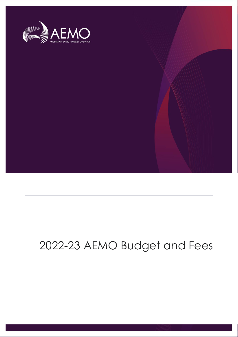

# 2022-23 AEMO Budget and Fees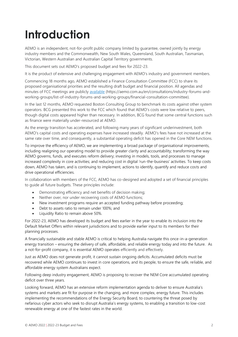# <span id="page-1-0"></span>**Introduction**

AEMO is an independent, not-for-profit public company limited by guarantee, owned jointly by energy industry members and the Commonwealth, New South Wales, Queensland, South Australian, Tasmanian, Victorian, Western Australian and Australian Capital Territory governments.

This document sets out AEMO's proposed budget and fees for 2022-23.

It is the product of extensive and challenging engagement with AEMO's industry and government members.

Commencing 18 months ago, AEMO established a Finance Consultation Committee (FCC) to share its proposed organisational priorities and the resulting draft budget and financial position. All agendas and minutes of FCC meetings are publicly [available](https://aemo.com.au/en/consultations/industry-forums-and-working-groups/list-of-industry-forums-and-working-groups/financial-consultation-committee) (https://aemo.com.au/en/consultations/industry-forums-andworking-groups/list-of-industry-forums-and-working-groups/financial-consultation-committee).

In the last 12 months, AEMO requested Boston Consulting Group to benchmark its costs against other system operators. BCG presented this work to the FCC which found that AEMO's costs were low relative to peers, though digital costs appeared higher than necessary. In addition, BCG found that some central functions such as finance were materially under-resourced at AEMO.

As the energy transition has accelerated, and following many years of significant underinvestment, both AEMO's capital costs and operating expenses have increased steadily. AEMO's fees have not increased at the same rate over time, and consequently, a substantial operating deficit has opened in the Core NEM functions.

To improve the efficiency of AEMO, we are implementing a broad package of organisational improvements, including realigning our operating model to provide greater clarity and accountability; transforming the way AEMO governs, funds, and executes reform delivery; investing in models, tools, and processes to manage increased complexity in core activities; and reducing cost in digital 'run-the-business' activities. To keep costs down, AEMO has taken, and is continuing to implement, actions to identify, quantify and reduce costs and drive operational efficiencies.

In collaboration with members of the FCC, AEMO has co-designed and adopted a set of financial principles to guide all future budgets. These principles include:

- Demonstrating efficiency and net benefits of decision making;
- Neither over, nor under recovering costs of AEMO functions;
- New investment programs require an accepted funding pathway before proceeding;
- Debt to assets ratio to remain under 100%; and
- Liquidity Ratio to remain above 50%.

For 2022-23, AEMO has developed its budget and fees earlier in the year to enable its inclusion into the Default Market Offers within relevant jurisdictions and to provide earlier input to its members for their planning processes.

A financially sustainable and stable AEMO is critical to helping Australia navigate this once-in-a-generation energy transition – ensuring the delivery of safe, affordable, and reliable energy today and into the future. As a not-for-profit company, it is essential AEMO operates efficiently and effectively.

Just as AEMO does not generate profit, it cannot sustain ongoing deficits. Accumulated deficits must be recovered while AEMO continues to invest in core operations, and its people, to ensure the safe, reliable, and affordable energy system Australians expect.

Following deep industry engagement, AEMO is proposing to recover the NEM Core accumulated operating deficit over three years.

Looking forward, AEMO has an extensive reform implementation agenda to deliver to ensure Australia's systems and markets are fit for purpose in the changing, and more complex, energy future. This includes implementing the recommendations of the Energy Security Board, to countering the threat posed by nefarious cyber actors who seek to disrupt Australia's energy systems, to enabling a transition to low-cost renewable energy at one of the fastest rates in the world.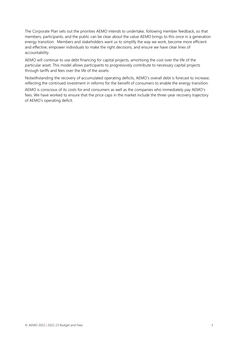The Corporate Plan sets out the priorities AEMO intends to undertake, following member feedback, so that members, participants, and the public can be clear about the value AEMO brings to this once in a generation energy transition. Members and stakeholders want us to simplify the way we work, become more efficient and effective, empower individuals to make the right decisions, and ensure we have clear lines of accountability.

AEMO will continue to use debt financing for capital projects, amortising the cost over the life of the particular asset. This model allows participants to progressively contribute to necessary capital projects through tariffs and fees over the life of the assets.

Notwithstanding the recovery of accumulated operating deficits, AEMO's overall debt is forecast to increase, reflecting the continued investment in reforms for the benefit of consumers to enable the energy transition.

AEMO is conscious of its costs for end consumers as well as the companies who immediately pay AEMO's fees. We have worked to ensure that the price caps in the market include the three-year recovery trajectory of AEMO's operating deficit.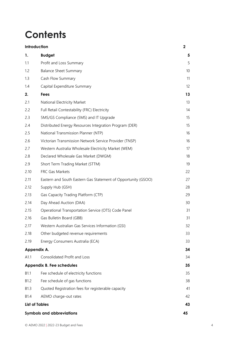## **Contents**

|                  | Introduction                                                  | $\mathbf 2$ |
|------------------|---------------------------------------------------------------|-------------|
| 1.               | <b>Budget</b>                                                 | 5           |
| 1.1              | Profit and Loss Summary                                       | 5           |
| 1.2              | <b>Balance Sheet Summary</b>                                  | 10          |
| 1.3              | Cash Flow Summary                                             | 11          |
| 1.4              | Capital Expenditure Summary                                   | 12          |
| 2.               | <b>Fees</b>                                                   | 13          |
| 2.1              | National Electricity Market                                   | 13          |
| 2.2              | Full Retail Contestability (FRC) Electricity                  | 14          |
| 2.3              | 5MS/GS Compliance (5MS) and IT Upgrade                        | 15          |
| 2.4              | Distributed Energy Resources Integration Program (DER)        | 15          |
| 2.5              | National Transmission Planner (NTP)                           | 16          |
| 2.6              | Victorian Transmission Network Service Provider (TNSP)        | 16          |
| 2.7              | Western Australia Wholesale Electricity Market (WEM)          | 17          |
| 2.8              | Declared Wholesale Gas Market (DWGM)                          | 18          |
| 2.9              | Short Term Trading Market (STTM)                              | 19          |
| 2.10             | FRC Gas Markets                                               | 22          |
| 2.11             | Eastern and South Eastern Gas Statement of Opportunity (GSOO) | 27          |
| 2.12             | Supply Hub (GSH)                                              | 28          |
| 2.13             | Gas Capacity Trading Platform (CTP)                           | 29          |
| 2.14             | Day Ahead Auction (DAA)                                       | 30          |
| 2.15             | Operational Transportation Service (OTS) Code Panel           | 31          |
| 2.16             | Gas Bulletin Board (GBB)                                      | 31          |
| 2.17             | Western Australian Gas Services Information (GSI)             | 32          |
| 2.18             | Other budgeted revenue requirements                           | 33          |
| 2.19             | Energy Consumers Australia (ECA)                              | 33          |
|                  | Appendix A.                                                   | 34          |
| A1.1             | Consolidated Profit and Loss                                  | 34          |
|                  | <b>Appendix B. Fee schedules</b>                              | 35          |
| B1.1             | Fee schedule of electricity functions                         | 35          |
| B <sub>1.2</sub> | Fee schedule of gas functions                                 | 38          |
| B1.3             | Quoted Registration fees for registerable capacity            | 41          |
| B <sub>1.4</sub> | AEMO charge-out rates                                         | 42          |
|                  | <b>List of Tables</b>                                         | 43          |
|                  | <b>Symbols and abbreviations</b>                              | 45          |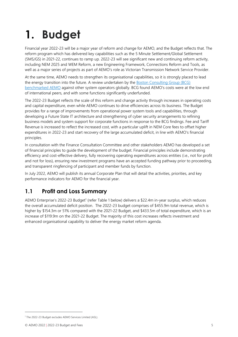# <span id="page-4-0"></span>**1. Budget**

Financial year 2022-23 will be a major year of reform and change for AEMO, and the Budget reflects that. The reform program which has delivered key capabilities such as the 5 Minute Settlement/Global Settlement (5MS/GS) in 2021-22, continues to ramp up. 2022-23 will see significant new and continuing reform activity, including NEM 2025 and WEM Reform, a new Engineering Framework, Connections Reform and Tools, as well as a major series of projects as part of AEMO's role as Victorian Transmission Network Service Provider.

At the same time, AEMO needs to strengthen its organisational capabilities, so it is strongly placed to lead the energy transition into the future. A review undertaken by the [Boston Consulting Group \(BCG\)](https://aemo.com.au/-/media/files/stakeholder_consultation/working_groups/other_meetings/financial-consultation/2021-22/fcc-meeting-1-bcg-presentation.pdf?la=en)  [benchmarked](https://aemo.com.au/-/media/files/stakeholder_consultation/working_groups/other_meetings/financial-consultation/2021-22/fcc-meeting-1-bcg-presentation.pdf?la=en) AEMO against other system operators globally. BCG found AEMO's costs were at the low end of international peers, and with some functions significantly underfunded.

The 2022-23 Budget reflects the scale of this reform and change activity through increases in operating costs and capital expenditure, even while AEMO continues to drive efficiencies across its business. The Budget provides for a range of improvements from operational power system tools and capabilities, through developing a Future State IT architecture and strengthening of cyber security arrangements to refining business models and system support for corporate functions in response to the BCG findings. Fee and Tariff Revenue is increased to reflect the increased cost, with a particular uplift in NEM Core fees to offset higher expenditures in 2022-23 and start recovery of the large accumulated deficit, in line with AEMO's financial principles.

In consultation with the Finance Consultation Committee and other stakeholders AEMO has developed a set of financial principles to guide the development of the budget. Financial principles include demonstrating efficiency and cost-effective delivery, fully recovering operating expenditures across entities (i.e., not for profit and not for loss), ensuring new investment programs have an accepted funding pathway prior to proceeding, and transparent ringfencing of participant and member funds by function.

In July 2022, AEMO will publish its annual Corporate Plan that will detail the activities, priorities, and key performance indicators for AEMO for the financial year.

## <span id="page-4-1"></span>**1.1 Profit and Loss Summary**

AEMO Enterprise's 2022-23 Budget<sup>1</sup> (refer Table 1 below) delivers a \$22.4m in-year surplus, which reduces the overall accumulated deficit position. The 2022-23 budget comprises of \$455.9m total revenue, which is higher by \$154.3m or 51% compared with the 2021-22 Budget, and \$433.5m of total expenditure, which is an increase of \$119.9m on the 2021-22 Budget. The majority of this cost increases reflects investment and enhanced organisational capability to deliver the energy market reform agenda.

<sup>1</sup> The 2022-23 Budget excludes AEMO Services Limited (ASL).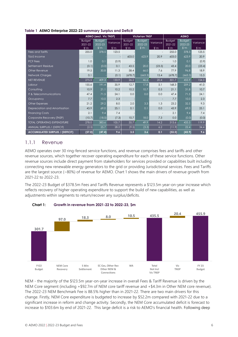<span id="page-5-0"></span>

|  |  | Table 1 AEMO Enterprise 2022-23 summary Surplus and Deficit |  |  |  |  |  |
|--|--|-------------------------------------------------------------|--|--|--|--|--|
|--|--|-------------------------------------------------------------|--|--|--|--|--|

|                                        | <b>AEMO (excl. Vic TNSP)</b> |                          |                 |                          | <b>Victorian TNSP</b>    |                  | <b>AEMO</b>              |                          |                 |
|----------------------------------------|------------------------------|--------------------------|-----------------|--------------------------|--------------------------|------------------|--------------------------|--------------------------|-----------------|
|                                        | <b>Budget</b><br>2021-22     | <b>Budget</b><br>2022-23 | Variance        | <b>Budget</b><br>2021-22 | <b>Budget</b><br>2022-23 | Variance         | <b>Budget</b><br>2021-22 | <b>Budget</b><br>2022-23 | Variance        |
|                                        | $\mathsf{S}^{\prime}$ m      | $\frac{m}{2}$            | $\mathsf{S}'$ m | $\mathsf{S}^n$           | $\mathsf{S}'$ m          | $\mathcal{S}$ 'm | $\mathsf{S}'$ m          | $\mathcal{S}$ 'm         | $\mathsf{S}'$ m |
| Fees and Tariffs                       | 255.0                        | 378.5                    | 123.5           |                          |                          |                  | 255.0                    | 378.5                    | 123.5           |
| <b>TUoS</b> Income                     |                              |                          |                 | 603.0                    | 623.9                    | 20.9             | 603.0                    | 623.9                    | 20.9            |
| <b>PCF Fees</b>                        | 1.0                          | 0.1                      | (0.9)           |                          |                          |                  | 1.0                      | 0.1                      | (0.9)           |
| Settlement Residue                     | (0.1)                        | (0.0)                    | 0.1             | 43.5                     | 20.0                     | (23.5)           | 43.4                     | 20.0                     | (23.4)          |
| Other Revenue                          | 19.5                         | 30.8                     | 11.3            | 58.4                     | 66.0                     | 7.6              | 77.9                     | 96.8                     | 18.9            |
| Network Charges                        | 0.1                          |                          | (0.1)           | (678.7)                  | (663.3)                  | 15.4             | (678.7)                  | (663.3)                  | 15.3            |
| NET REVENUE                            | 275.5                        | 409.3                    | 133.9           | 26.2                     | 46.6                     | 20.4             | 301.7                    | 455.9                    | 154.3           |
| Labour                                 | 155.6                        | 191.4                    | 35.9            | 12.7                     | 17.8                     | 5.1              | 168.3                    | 209.2                    | 41.0            |
| Consulting                             | 10.9                         | 21.1                     | 10.2            | 10.2                     | 10.7                     | 0.5              | 21.1                     | 31.8                     | 10.7            |
| IT & Telecommunications                | 47.4                         | 71.5                     | 24.1            | 0.0                      | 0.0                      | 0.0              | 47.4                     | 71.5                     | 24.1            |
| Occupancy                              | 7.7                          | 10.0                     | 2.3             |                          |                          |                  | 7.7                      | 10.0                     | 2.3             |
| <b>Other Expenses</b>                  | 21.2                         | 29.2                     | 8.0             | 2.0                      | 3.3                      | 1.3              | 23.2                     | 32.5                     | 9.3             |
| Depreciation and Amortisation          | 43.9                         | 69.0                     | 25.1            | 0.1                      | 0.1                      | 0.0              | 43.9                     | 69.0                     | 25.1            |
| <b>Financing Costs</b>                 | 2.1                          | 9.4                      | 7.4             |                          |                          |                  | 2.1                      | 9.4                      | 7.4             |
| Corporate Recovery (TNSP)              | (10.7)                       | (18.0)                   | (7.3)           | 10.7                     | 18.0                     | 7.3              | 0.0                      | (0.0)                    | (0.0)           |
| <b>TOTAL OPERATING EXPENDITURE</b>     | 278.0                        | 383.6                    | 105.7           | 35.7                     | 49.9                     | 14.2             | 313.6                    | 433.5                    | 119.9           |
| ANNUAL SURPLUS / (DEFICIT)             | (2.5)                        | 25.7                     | 28.2            | (9.5)                    | (3.3)                    | 6.2              | (11.9)                   | 22.4                     | 34.4            |
| <b>ACCUMULATED SURPLUS / (DEFICIT)</b> | (57.0)                       | (47.4)                   | 9.6             | 3.5                      | 3.6                      | 0.1              | (53.5)                   | (43.9)                   | 9.6             |

### 1.1.1 Revenue

AEMO operates over 30 ring-fenced service functions, and revenue comprises fees and tariffs and other revenue sources, which together recover operating expenditure for each of these service functions. Other revenue sources include direct payment from stakeholders for services provided or capabilities built including connecting new renewable energy generators to the grid or providing Jurisdictional services. Fees and Tariffs are the largest source (~80%) of revenue for AEMO. Chart 1 shows the main drivers of revenue growth from 2021-22 to 2022-23.

The 2022-23 Budget of \$378.5m Fees and Tariffs Revenue represents a \$123.5m year-on-year increase which reflects recovery of higher operating expenditure to support the build of new capabilities, as well as adjustments within segments to return/recover any surplus/deficits.



<span id="page-5-1"></span>

NEM - the majority of the \$123.5m year-on-year increase in overall Fees & Tariff Revenue is driven by the NEM Core segment (including +\$92.7m of NEM core tariff revenue and +\$4.3m in Other NEM core revenue). The 2022-23 NEM Benchmark Fee is 88.5% higher than in 2021-22. There are two main drivers for this change. Firstly, NEM Core expenditure is budgeted to increase by \$52.2m compared with 2021-22 due to a significant increase in reform and change activity. Secondly, the NEM Core accumulated deficit is forecast to increase to \$103.6m by end of 2021-22. This large deficit is a risk to AEMO's financial health. Following deep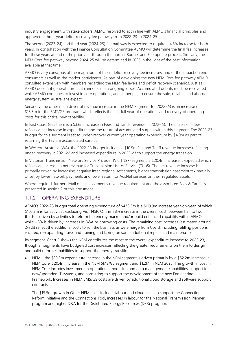industry engagement with stakeholders, AEMO resolved to act in line with AEMO's financial principles and approved a three-year deficit recovery fee pathway from 2022-23 to 2024-25.

The second (2023-24) and third year (2024-25) fee pathway is expected to require a 4.5% increase for both years. In consultation with the Finance Consultation Committee AEMO will determine the final fee increases for these years at end of the prior year through the normal Budget and Fee update process. Similarly, the NEM Core fee pathway beyond 2024-25 will be determined in 2025 in the light of the best information available at that time.

AEMO is very conscious of the magnitude of these deficit recovery fee increases, and of the impact on end consumers as well as the market participants. As part of developing the new NEM Core fee pathway AEMO consulted extensively with members regarding the NEM fee levels and deficit recovery scenarios. Just as AEMO does not generate profit, it cannot sustain ongoing losses. Accumulated deficits must be recovered while AEMO continues to invest in core operations, and its people, to ensure the safe, reliable, and affordable energy system Australians expect.

Secondly, the other main driver of revenue increase in the NEM Segment for 2022-23 is an increase of \$18.3m for the 5MS/GS program, which reflects the first full year of operations and recovery of operating costs for this critical new capability.

In East Coast Gas, there is a \$3.6m increase in Fees and Tariffs revenue in 2022-23. The increase in fees reflects a net increase in expenditure and the return of accumulated surplus within this segment. The 2022-23 Budget for this segment is set to under-recover current year operating expenditure by \$4.9m as part of returning the \$27.5m accumulated surplus.

In Western Australia (WA), the 2022-23 Budget includes a \$10.5m Fee and Tariff revenue increase reflecting under-recovery in 2021-22 and increased expenditure in 2022-23 to support the energy transition.

In Victorian Transmission Network Service Provider (Vic TNSP) segment, a \$20.4m increase is expected which reflects an increase in net revenue for Transmission Use of Service (TUoS). The net revenue increase is primarily driven by increasing negative inter-regional settlements, higher transmission easement tax partially offset by lower network payments and lower return for AusNet services on their regulated assets.

Where required, further detail of each segment's revenue requirement and the associated Fees & Tariffs is presented in section 2 of this document.

### 1.1.2 OPERATING EXPENDITURE

AEMO's 2022-23 Budget total operating expenditure of \$433.5m is a \$119.9m increase year-on-year, of which \$105.7m is for activities excluding Vic TNSP. Of this 38% increase in the overall cost, between half to two thirds is driven by activities to reform the energy market and/or build enhanced capability within AEMO, while ~8% is driven by increases in D&A or borrowing costs. The remaining cost increases (estimated around 2-7%) reflect the additional costs to run the business as we emerge from Covid, including refilling positions vacated, re-expanding travel and training and taking on some additional repairs and maintenance.

By segment, Chart 2 shows the NEM contributes the most to the overall expenditure increase to 2022-23, though all segments have budgeted cost increases reflecting the greater requirements on them to design and build reform capabilities to support the energy transition

• NEM – the \$89.3m expenditure increase in the NEM segment is driven primarily by a \$52.2m increase in NEM Core, \$20.4m increase in the NEM 5MS/GS segment and \$1.2M in NEM 2025. The growth in cost in NEM Core includes investment in operational modelling and data management capabilities, support for new/upgraded IT systems, and consulting to support the development of the new Engineering Framework. Increases in NEM 5MS/GS costs are driven by additional cloud storage and software support contracts.

The \$15.5m growth in Other NEM costs includes labour and cloud costs to support the Connections Reform Initiative and the Connections Tool, increases in labour for the National Transmission Planner program and higher D&A for the Distributed Energy Resources (DER) program.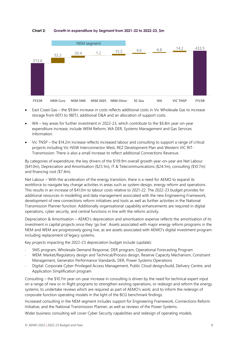#### <span id="page-7-0"></span>**Chart 2: Growth in expenditure by Segment from 2021-22 to 2022-23, \$m**



- East Coast Gas the \$9.6m increase in costs reflects additional costs in Vic Wholesale Gas to increase storage from 60TJ to 180TJ, additional D&A and an allocation of support costs.
- WA key areas for further investment in 2022-23, which contribute to the \$6.8m year-on-year expenditure increase, include WEM Reform, WA DER, Systems Management and Gas Services Information.
- Vic TNSP the \$14.2m increase reflects increased labour and consulting to support a range of critical projects including Vic-NSW Interconnector West, REZ Development Plan and Western VIC RIT-Transmission. There is also a small increase to reflect additional Connections Revenue.

By categories of expenditure, the key drivers of the \$119.9m overall growth year-on-year are Net Labour (\$41.0m), Depreciation and Amortisation (\$25.1m), IT & Telecommunications (\$24.1m), consulting (\$10.7m) and financing cost (\$7.4m).

Net Labour – With the acceleration of the energy transition, there is a need for AEMO to expand its workforce to navigate key change activities in areas such as system design, energy reform and operations. This results in an increase of \$41.0m to labour costs relative to 2021-22. The 2022-23 budget provides for additional resources in modelling and data management associated with the new Engineering Framework, development of new connections reform initiatives and tools as well as further activities in the National Transmission Planner function. Additionally organisational capability enhancements are required in digital operations, cyber security, and central functions in line with the reform activity.

Depreciation & Amortisation – AEMO's depreciation and amortisation expense reflects the amortisation of its investment in capital projects once they 'go live'. Assets associated with major energy reform programs in the NEM and WEM are progressively going live, as are assets associated with AEMO's digital investment program including replacement of legacy systems.

Key projects impacting the 2022-23 depreciation budget include (update):

- 5MS program, Wholesale Demand Response, DER program, Operational Forecasting Program
- WEM: Market/Regulatory design and Technical/Process design, Reserve Capacity Mechanism, Constraint Management, Generator Performance Standards, DER, Power Systems Operations
- Digital: Corporate Cyber Privileged Access Management, Public Cloud design/build, Delivery Centre, and Application Simplification program

Consulting – the \$10.7m year-on-year increase in consulting is driven by the need for technical expert input on a range of new or in-flight programs to strengthen existing operations, or redesign and reform the energy systems; to undertake reviews which are required as part of AEMO's work; and to inform the redesign of corporate function operating models in the light of the BCG benchmark findings.

Increased consulting in the NEM segment includes support for Engineering Framework, Connections Reform Initiative, and the National Transmission Planner, as well as reviews of the Power Systems.

Wider business consulting will cover Cyber Security capabilities and redesign of operating models.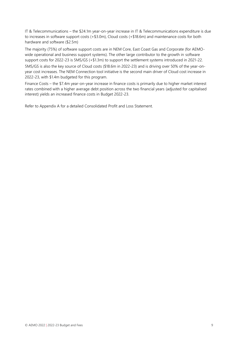IT & Telecommunications – the \$24.1m year-on-year increase in IT & Telecommunications expenditure is due to increases in software support costs (+\$3.0m), Cloud costs (+\$18.6m) and maintenance costs for both hardware and software (\$2.5m)

The majority (75%) of software support costs are in NEM Core, East Coast Gas and Corporate (for AEMOwide operational and business support systems). The other large contributor to the growth in software support costs for 2022-23 is 5MS/GS (+\$1.3m) to support the settlement systems introduced in 2021-22.

5MS/GS is also the key source of Cloud costs (\$18.6m in 2022-23) and is driving over 50% of the year-onyear cost increases. The NEM Connection tool initiative is the second main driver of Cloud cost increase in 2022-23, with \$1.4m budgeted for this program.

Finance Costs – the \$7.4m year-on-year increase in finance costs is primarily due to higher market interest rates combined with a higher average debt position across the two financial years (adjusted for capitalised interest) yields an increased finance costs in Budget 2022-23.

Refer to Appendix A for a detailed Consolidated Profit and Loss Statement.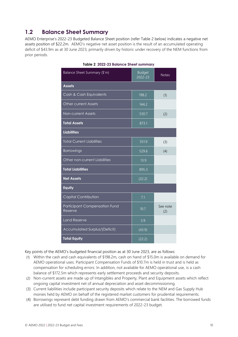## <span id="page-9-0"></span>**1.2 Balance Sheet Summary**

<span id="page-9-1"></span>AEMO Enterprise's 2022-23 Budgeted Balance Sheet position (refer Table 2 below) indicates a negative net assets position of \$22.2m. AEMO's negative net asset position is the result of an accumulated operating deficit of \$43.9m as at 30 June 2023, primarily driven by historic under recovery of the NEM functions from prior periods.

| Balance Sheet Summary (\$'m)                    | <b>Budget</b><br>2022-23 | <b>Notes</b>    |
|-------------------------------------------------|--------------------------|-----------------|
| <b>Assets</b>                                   |                          |                 |
| Cash & Cash Equivalents                         | 198.2                    | (1)             |
| <b>Other current Assets</b>                     | 144.2                    |                 |
| Non-current Assets                              | 530.7                    | (2)             |
| <b>Total Assets</b>                             | 873.1                    |                 |
| <b>Liabilities</b>                              |                          |                 |
| <b>Total Current Liabilities</b>                | 351.9                    | (3)             |
| <b>Borrowings</b>                               | 529.6                    | (4)             |
| Other non-current Liabilities                   | 13.9                     |                 |
| <b>Total Liabilities</b>                        | 895.3                    |                 |
| <b>Net Assets</b>                               | (22.2)                   |                 |
| Equity                                          |                          |                 |
| Capital Contribution                            | 7.1                      |                 |
| <b>Participant Compensation Fund</b><br>Reserve | 10.7                     | See note<br>(2) |
| <b>Land Reserve</b>                             | 3.9                      |                 |
| Accumulated Surplus/(Deficit)                   | (43.9)                   |                 |
| <b>Total Equity</b>                             | (22.2)                   |                 |

|  |  |  |  | Table 2 2022-23 Balance Sheet summary |
|--|--|--|--|---------------------------------------|
|--|--|--|--|---------------------------------------|

Key points of the AEMO's budgeted financial position as at 30 June 2023, are as follows:

- (1) Within the cash and cash equivalents of \$198.2m, cash on hand of \$15.0m is available on demand for AEMO operational uses. Participant Compensation Funds of \$10.7m is held in trust and is held as compensation for scheduling errors. In addition, not available for AEMO operational use, is a cash balance of \$172.5m which represents early settlement proceeds and security deposits.
- (2) Non-current assets are made up of Intangibles and Property, Plant and Equipment assets which reflect ongoing capital investment net of annual depreciation and asset decommissioning.
- (3) Current liabilities include participant security deposits which relate to the NEM and Gas Supply Hub monies held by AEMO on behalf of the registered market customers for prudential requirements.
- (4) Borrowings represent debt funding drawn from AEMO's commercial bank facilities. The borrowed funds are utilised to fund net capital investment requirements of 2022-23 budget.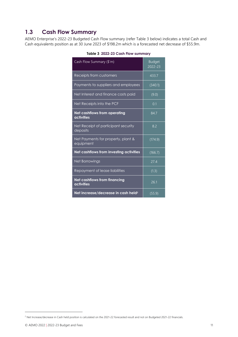## <span id="page-10-0"></span>**1.3 Cash Flow Summary**

<span id="page-10-1"></span>AEMO Enterprise's 2022-23 Budgeted Cash Flow summary (refer Table 3 below) indicates a total Cash and Cash equivalents position as at 30 June 2023 of \$198.2m which is a forecasted net decrease of \$55.9m.

| Cash Flow Summary (\$'m)                          | <b>Budget</b><br>2022-23 |
|---------------------------------------------------|--------------------------|
| Receipts from customers                           | 433.7                    |
| Payments to suppliers and employees               | (340.1)                  |
| Net Interest and finance costs paid               | (9.0)                    |
| Net Receipts into the PCF                         | 0.1                      |
| Net cashflows from operating<br>activities        | 84.7                     |
| Net Receipt of participant security<br>deposits   | 8.2                      |
| Net Payments for property, plant &<br>equipment   | (174.9)                  |
| Net cashflows from investing activities           | (166.7)                  |
| Net Borrowings                                    | 27.4                     |
| Repayment of lease liabilities                    | (1.3)                    |
| <b>Net cashflows from financing</b><br>activities | 26.1                     |
| Net increase/decrease in cash held <sup>2</sup>   | (55.9)                   |

|  |  | Table 3 2022-23 Cash Flow summary |  |
|--|--|-----------------------------------|--|
|  |  |                                   |  |

<sup>&</sup>lt;sup>2</sup> Net Increase/decrease in Cash held position is calculated on the 2021-22 forecasted result and not on Budgeted 2021-22 financials.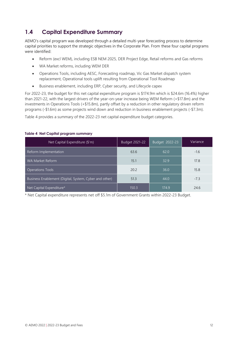## <span id="page-11-0"></span>**1.4 Capital Expenditure Summary**

AEMO's capital program was developed through a detailed multi-year forecasting process to determine capital priorities to support the strategic objectives in the Corporate Plan. From these four capital programs were identified:

- Reform (excl WEM), including ESB NEM 2025, DER Project Edge, Retail reforms and Gas reforms
- WA Market reforms, including WEM DER
- Operations Tools, including AESC, Forecasting roadmap, Vic Gas Market dispatch system replacement, Operational tools uplift resulting from Operational Tool Roadmap
- Business enablement, including ERP, Cyber security, and Lifecycle capex

For 2022-23, the budget for this net capital expenditure program is \$174.9m which is \$24.6m (16.4%) higher than 2021-22, with the largest drivers of the year-on-year increase being WEM Reform (+\$17.8m) and the investments in Operations Tools (+\$15.8m), partly offset by a reduction in other regulatory driven reform programs (-\$1.6m) as some projects wind down and reduction in business enablement projects (-\$7.3m).

Table 4 provides a summary of the 2022-23 net capital expenditure budget categories.

| Net Capital Expenditure (\$'m)                         | Budget 2021-22 | Budget 2022-23 | Variance |
|--------------------------------------------------------|----------------|----------------|----------|
| Reform Implementation                                  | 63.6           | 62.0           | $-1.6$   |
| WA Market Reform                                       | 15.1           | 32.9           | 17.8     |
| <b>Operations Tools</b>                                | 20.2           | 36.0           | 15.8     |
| Business Enablement (Digital, System, Cyber and other) | 51.3           | 44.0           | $-7.3$   |
| Net Capital Expenditure*                               | 150.3          | 174.9          | 24.6     |

#### <span id="page-11-1"></span>**Table 4 Net Capital program summary**

\* Net Capital expenditure represents net off \$5.1m of Government Grants within 2022-23 Budget.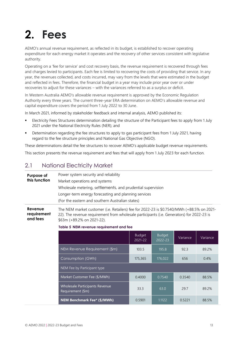# <span id="page-12-0"></span>**2. Fees**

AEMO's annual revenue requirement, as reflected in its budget, is established to recover operating expenditure for each energy market it operates and the recovery of other services consistent with legislative authority.

Operating on a 'fee for service' and cost recovery basis, the revenue requirement is recovered through fees and charges levied to participants. Each fee is limited to recovering the costs of providing that service. In any year, the revenues collected, and costs incurred, may vary from the levels that were estimated in the budget and reflected in fees. Therefore, the financial budget in a year may include prior year over or under recoveries to adjust for these variances – with the variances referred to as a surplus or deficit.

In Western Australia AEMO's allowable revenue requirement is approved by the Economic Regulation Authority every three years. The current three-year ERA determination on AEMO's allowable revenue and capital expenditure covers the period from 1 July 2022 to 30 June.

In March 2021, informed by stakeholder feedback and internal analysis, AEMO published its:

- Electricity Fees Structures determination detailing the structure of the Participant fees to apply from 1 July 2021 under the National Electricity Rules (NER); and
- Determination regarding the fee structures to apply to gas participant fees from 1 July 2021, having regard to the fee structure principles and National Gas Objective (NGO).

These determinations detail the fee structures to recover AEMO's applicable budget revenue requirements.

<span id="page-12-1"></span>This section presents the revenue requirement and fees that will apply from 1 July 2023 for each function.

## 2.1 National Electricity Market

| Purpose of    | Power system security and reliability                       |
|---------------|-------------------------------------------------------------|
| this function | Market operations and systems                               |
|               | Wholesale metering, settlements, and prudential supervision |
|               | Longer-term energy forecasting and planning services        |
|               | (For the eastern and southern Australian states)            |
|               |                                                             |

**Revenue requirement and fees** The NEM market customer (i.e. Retailers) fee for 2022-23 is \$0.7540/MWh (+88.5% on 2021- 22). The revenue requirement from wholesale participants (i.e. Generators) for 2022-23 is \$63m (+89.2% on 2021-22).

<span id="page-12-2"></span>**Table 5 NEM revenue requirement and fee**

|                                                            | <b>Budget</b><br>$2021 - 22$ | <b>Budget</b><br>2022-23 | Variance | Variance |
|------------------------------------------------------------|------------------------------|--------------------------|----------|----------|
| NEM Revenue Requirement (\$m)                              | 103.5                        | 195.8                    | 923      | 89.2%    |
| Consumption (GWh)                                          | 175,365                      | 176,022                  | 656      | 0.4%     |
| NEM Fee by Participant type                                |                              |                          |          |          |
| Market Customer Fee (\$/MWh)                               | 0.4000                       | 0.7540                   | 0.3540   | 88.5%    |
| <b>Wholesale Participants Revenue</b><br>Requirement (\$m) | 33.3                         | 63.0                     | 297      | 892%     |
| NEM Benchmark Fee* (\$/MWh)                                | 0.5901                       | 1.1122                   | 0.5221   | 88.5%    |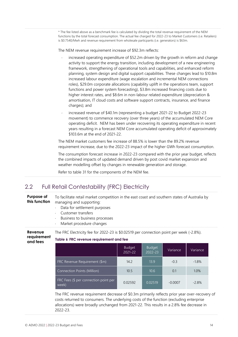\* The fee listed above as a benchmark fee is calculated by dividing the total revenue requirement of the NEM functions by the total forecast consumption. The actual fee charged for 2022-23 to Market Customers (i.e. Retailers) is \$0.7540/Mwh and revenue requirement from wholesale particpants (i.e. generators) is \$63m.

The NEM revenue requirement increase of \$92.3m reflects:

- increased operating expenditure of \$52.2m driven by the growth in reform and change activity to support the energy transition, including development of a new engineering framework, strengthening of operational tools and capabilities, and enhanced reform planning, system design and digital support capabilities. These changes lead to \$10.8m increased labour expenditure (wage escalation and incremental NEM connections roles), \$29.0m corporate allocations (capability uplift in the operations team, support functions and power system forecasting), \$3.8m increased financing costs due to higher interest rates, and \$8.6m in non-labour related expenditure (depreciation & amortisation, IT cloud costs and software support contracts, insurance, and finance charges); and
- increased revenue of \$40.1m (representing a budget 2021-22 to Budget 2022-23 movement) to commence recovery (over three years) of the accumulated NEM Core operating deficit. NEM has been under recovering its operating expenditure in recent years resulting in a forecast NEM Core accumulated operating deficit of approximately \$103.6m at the end of 2021-22.

The NEM market customers fee increase of 88.5% is lower than the 89.2% revenue requirement increase, due to the 2022-23 impact of the higher GWh forecast consumption.

The consumption forecast increase in 2022-23 compared with the prior year budget, reflects the combined impacts of updated demand driven by post covid market expansion and weather modelling offset by changes in renewable generation and storage.

Refer to table 31 for the components of the NEM fee.

## <span id="page-13-0"></span>2.2 Full Retail Contestability (FRC) Electricity

<span id="page-13-1"></span>**Purpose of this function** To facilitate retail market competition in the east coast and southern states of Australia by managing and supporting: Data for settlement purposes Customer transfers Business to business processes Market procedure changes **Revenue requirement and fees** The FRC Electricity fee for 2022-23 is \$0.02519 per connection point per week (-2.8%). **Table 6 FRC revenue requirement and fee** Budget 2021-22 Budget 2022-23 Variance Variance FRC Revenue Requirement (\$m) 14.2 13.9 -0.3 -1.8% Connection Points (Million) 10.5 10.6 0.1 1.0% FRC Fees (\$ per connection point per extended to the connection point per constant per connection point per connection per connection per connection<br>week) and the connection point per connection per connection of the connection per connection per connection p The FRC revenue requirement decrease of \$0.3m primarily reflects prior year over-recovery of costs returned to consumers. The underlying costs of the function (excluding enterprise

allocations) were broadly unchanged from 2021-22. This results in a 2.8% fee decrease in 2022-23.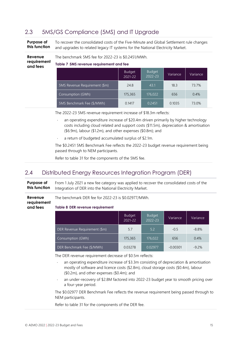## <span id="page-14-0"></span>2.3 5MS/GS Compliance (5MS) and IT Upgrade

**Purpose of this function** To recover the consolidated costs of the Five-Minute and Global Settlement rule changes and upgrades to related legacy IT systems for the National Electricity Market.

#### **Revenue**  The benchmark 5MS fee for 2022-23 is \$0.2451/MWh.

**requirement Table 7 5MS revenue requirement and fee**

<span id="page-14-2"></span>

|                               | <b>Budget</b><br>2021-22 | <b>Budget</b><br>$2022 - 23$ | Variance | Variance |
|-------------------------------|--------------------------|------------------------------|----------|----------|
| 5MS Revenue Requirement (\$m) | 24.8                     | 43.1                         | 18.3     | 73.7%    |
| Consumption (GWh)             | 175,365                  | 176,022                      | 656      | 0.4%     |
| 5MS Benchmark Fee (\$/MWh)    | 0.1417                   | 0.2451                       | 0.1035   | 73.0%    |

The 2022-23 5MS revenue requirement increase of \$18.3m reflects:

- an operating expenditure increase of \$20.4m driven primarily by higher technology costs including cloud related and support costs (\$11.5m), depreciation & amortisation (\$6.9m), labour (\$1.2m), and other expenses (\$0.8m); and
- a return of budgeted accumulated surplus of \$2.1m.

The \$0.2451 5MS Benchmark Fee reflects the 2022-23 budget revenue requirement being passed through to NEM participants.

Refer to table 31 for the components of the 5MS fee.

## <span id="page-14-1"></span>2.4 Distributed Energy Resources Integration Program (DER)

**Purpose of this function** From 1 July 2021 a new fee category was applied to recover the consolidated costs of the Integration of DER into the National Electricity Market.

The benchmark DER fee for 2022-23 is \$0.02977/MWh.

**requirement and fees**

**Revenue** 

**and fees**

<span id="page-14-3"></span>**Table 8 DER revenue requirement**

|                               | <b>Budget</b><br>2021-22 | <b>Budget</b><br>$2022 - 23$ | Variance   | Variance |
|-------------------------------|--------------------------|------------------------------|------------|----------|
| DER Revenue Requirement (\$m) | 5.7                      | 5.2                          | $-0.5$     | $-8.8%$  |
| Consumption (GWh)             | 175,365                  | 176,022                      | 656        | 0.4%     |
| DER Benchmark Fee (\$/MWh)    | 0.03278                  | 0.02977                      | $-0.00301$ | $-9.2%$  |

The DER revenue requirement decrease of \$0.5m reflects:

- an operating expenditure increase of \$3.3m consisting of depreciation & amortisation mostly of software and licence costs (\$2.8m), cloud storage costs (\$0.4m), labour (\$0.2m), and other expenses (\$0.4m); and
- an under-recovery of \$2.8M factored into 2022-23 budget year to smooth pricing over a four-year period.

The \$0.02977 DER Benchmark Fee reflects the revenue requirement being passed through to NEM participants.

Refer to table 31 for the components of the DER fee.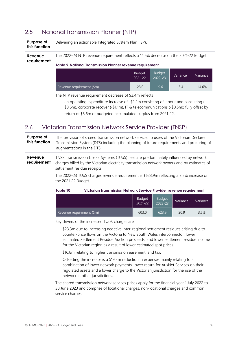## <span id="page-15-0"></span>2.5 National Transmission Planner (NTP)

<span id="page-15-2"></span>

| Purpose of<br>this function | Delivering an actionable Integrated System Plan (ISP).                                                                                            |  |  |  |  |  |
|-----------------------------|---------------------------------------------------------------------------------------------------------------------------------------------------|--|--|--|--|--|
| Revenue<br>requirement      | The 2022-23 NTP revenue requirement reflects a 14.6% decrease on the 2021-22 Budget.<br>Table 9 National Transmission Planner revenue requirement |  |  |  |  |  |
|                             | Budget<br><b>Budget</b><br>Variance<br>Variance<br>2022-23<br>2021-22                                                                             |  |  |  |  |  |
|                             | 19.6<br>Revenue requirement (\$m)<br>23.0<br>$-3.4$<br>$-14.6%$                                                                                   |  |  |  |  |  |
|                             | The NTP revenue requirement decrease of \$3.4m reflects<br>an energing eventure increase of \$2.2m consisting of labour and consulting (          |  |  |  |  |  |

- an operating expenditure increase of -\$2.2m consisting of labour and consulting (- \$0.6m), corporate recover (-\$1.1m), IT & telecommunications (-\$0.5m); fully offset by
- return of \$5.6m of budgeted accumulated surplus from 2021-22.

## <span id="page-15-1"></span>2.6 Victorian Transmission Network Service Provider (TNSP)

#### **Purpose of this function** The provision of shared transmission network services to users of the Victorian Declared Transmission System (DTS) including the planning of future requirements and procuring of augmentations in the DTS.

#### **Revenue requirement** TNSP Transmission Use of Systems (TUoS) fees are predominately influenced by network charges billed by the Victorian electricity transmission network owners and by estimates of settlement residue receipts.

The 2022-23 TUoS charges revenue requirement is \$623.9m reflecting a 3.5% increase on the 2021-22 Budget.

#### <span id="page-15-3"></span>**Table 10 Victorian Transmission Network Service Provider revenue requirement**

|                           | Budget<br>2021-22 | <b>Budget</b><br>$2022 - 23$ | Variance | <b>Variance</b> |
|---------------------------|-------------------|------------------------------|----------|-----------------|
| Revenue requirement (\$m) | 603.0             | 623.9                        | 20.9     | 3.5%            |

Key drivers of the increased TUoS charges are:

- \$23.3m due to increasing negative inter-regional settlement residues arising due to counter-price flows on the Victoria to New South Wales interconnector, lower estimated Settlement Residue Auction proceeds, and lower settlement residue income for the Victorian region as a result of lower estimated spot prices.
- \$16.8m relating to higher transmission easement land tax.
- Offsetting the increase is a \$19.2m reduction in expenses mainly relating to a combination of lower network payments, lower return for AusNet Services on their regulated assets and a lower charge to the Victorian jurisdiction for the use of the network in other jurisdictions.

The shared transmission network services prices apply for the financial year 1 July 2022 to 30 June 2023 and comprise of locational charges, non-locational charges and common service charges.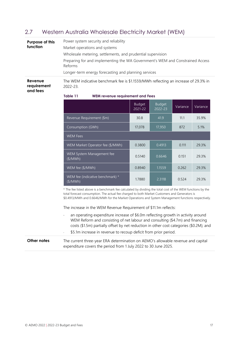## <span id="page-16-0"></span>2.7 Western Australia Wholesale Electricity Market (WEM)

| Purpose of this<br>function | Power system security and reliability<br>Market operations and systems<br>Wholesale metering, settlements, and prudential supervision<br>Preparing for and implementing the WA Government's WEM and Constrained Access<br>Reforms<br>Longer-term energy forecasting and planning services |
|-----------------------------|-------------------------------------------------------------------------------------------------------------------------------------------------------------------------------------------------------------------------------------------------------------------------------------------|
| Revenue                     | The WEM indicative benchmark fee is \$1.1559/MWh reflecting an increase of 29.3% in                                                                                                                                                                                                       |
| requirement                 | 2022-23.                                                                                                                                                                                                                                                                                  |

**requirement and fees**

<span id="page-16-1"></span>**Table 11 WEM revenue requirement and Fees**

|                                                    | <b>Budget</b><br>2021-22 | <b>Budget</b><br>$2022 - 23$ | Variance | Variance |
|----------------------------------------------------|--------------------------|------------------------------|----------|----------|
| Revenue Requirement (\$m)                          | 30.8                     | 41.9                         | 11.1     | 35.9%    |
| Consumption (GWh)                                  | 17,078                   | 17,950                       | 872      | 5.1%     |
| <b>WEM Fees</b>                                    |                          |                              |          |          |
| WEM Market Operator fee (\$/MWh)                   | 0.3800                   | 0.4913                       | 0.111    | 29.3%    |
| WEM System Management fee<br>(\$/MWh)              | 0.5140                   | 0.6646                       | 0.151    | 29.3%    |
| WEM fee (\$/MWh)                                   | 0.8940                   | 1.1559                       | 0.262    | 29.3%    |
| WEM fee (indicative benchmark) *<br>$($ \$/MWh $)$ | 1.7880                   | 2.3118                       | 0.524    | 29.3%    |

\* The fee listed above is a benchmark fee calculated by dividing the total cost of the WEM functions by the total forecast consumption. The actual fee charged to both Market Customers and Generators is \$0.4913/MWh and 0.6646/MWh for the Market Operations and System Management functions respectively.

The increase in the WEM Revenue Requirement of \$11.1m reflects:

 an operating expenditure increase of \$6.0m reflecting growth in activity around WEM Reform and consisting of net labour and consulting (\$4.7m) and financing costs (\$1.5m) partially offset by net reduction in other cost categories (\$0.2M); and \$5.1m increase in revenue to recoup deficit from prior period.

#### **Other notes** The current three-year ERA determination on AEMO's allowable revenue and capital expenditure covers the period from 1 July 2022 to 30 June 2025.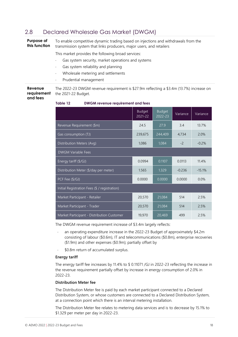## <span id="page-17-0"></span>2.8 Declared Wholesale Gas Market (DWGM)

**Purpose of this function** To enable competitive dynamic trading based on injections and withdrawals from the transmission system that links producers, major users, and retailers

This market provides the following broad services:

- Gas system security, market operations and systems
- Gas system reliability and planning
- Wholesale metering and settlements
- Prudential management

**Revenue requirement and fees** The 2022-23 DWGM revenue requirement is \$27.9m reflecting a \$3.4m (13.7%) increase on the 2021-22 Budget.

<span id="page-17-1"></span>**Table 12 DWGM revenue requirement and fees**

|                                               | <b>Budget</b><br>2021-22 | <b>Budget</b><br>2022-23 | Variance | Variance |
|-----------------------------------------------|--------------------------|--------------------------|----------|----------|
| Revenue Requirement (\$m)                     | 24.5                     | 27.9                     | 3.4      | 13.7%    |
| Gas consumption (TJ)                          | 239,675                  | 244,409                  | 4,734    | 2.0%     |
| Distribution Meters (Avg)                     | 1,086                    | 1,084                    | $-2$     | $-0.2%$  |
| <b>DWGM Variable Fees</b>                     |                          |                          |          |          |
| Energy tariff (\$/GJ)                         | 0.0994                   | 0.1107                   | 0.0113   | 11.4%    |
| Distribution Meter (\$/day per meter)         | 1.565                    | 1.329                    | $-0.236$ | $-15.1%$ |
| PCF Fee (\$/GJ)                               | 0.0000                   | 0.0000                   | 0.0000   | 0.0%     |
| Initial Registration Fees (\$ / registration) |                          |                          |          |          |
| Market Participant - Retailer                 | 20,570                   | 21,084                   | 514      | 2.5%     |
| Market Participant - Trader                   | 20,570                   | 21,084                   | 514      | 2.5%     |
| Market Participant - Distribution Customer    | 19,970                   | 20,469                   | 499      | 2.5%     |

The DWGM revenue requirement increase of \$3.4m largely reflects:

- an operating expenditure increase in the 2022-23 Budget of approximately \$4.2m consisting of labour (\$0.6m), IT and telecommunications (\$0.8m), enterprise recoveries (\$1.9m) and other expenses (\$0.9m); partially offset by
- \$0.8m return of accumulated surplus.

#### **Energy tariff**

The energy tariff fee increases by 11.4% to \$ 0.11071 /GJ in 2022-23 reflecting the increase in the revenue requirement partially offset by increase in energy consumption of 2.0% in 2022-23.

#### **Distribution Meter fee**

The Distribution Meter fee is paid by each market participant connected to a Declared Distribution System, or whose customers are connected to a Declared Distribution System, at a connection point which there is an interval metering installation.

The Distribution Meter fee relates to metering data services and is to decrease by 15.1% to \$1.329 per meter per day in 2022-23.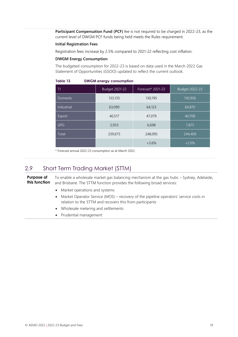Participant Compensation Fund (PCF) fee is not required to be charged in 2022-23, as the current level of DWGM PCF funds being held meets the Rules requirement.

#### **Initial Registration Fees**

Registration fees increase by 2.5% compared to 2021-22 reflecting cost inflation.

#### **DWGM Energy Consumption**

The budgeted consumption for 2022-23 is based on data used in the March 2022 Gas Statement of Opportunities (GSOO) updated to reflect the current outlook.

| TJ              | Budget 2021-22 | Forecast* 2021-22 | Budget 2022-23 |
|-----------------|----------------|-------------------|----------------|
| <b>Domestic</b> | 133,135        | 130,195           | 130,956        |
| Industrial      | 63,090         | 64,123            | 64,870         |
| Export          | 40,517         | 47,079            | 40,708         |
| <b>GPG</b>      | 2,933          | 6,698             | 7,875          |
| Total           | 239,675        | 248,095           | 244,409        |
|                 |                | $+3.6%$           | $+2.0%$        |

#### <span id="page-18-1"></span>**Table 13 DWGM energy consumption**

\* Forecast annual 2022-23 consumption as at March 2022.

### <span id="page-18-0"></span>2.9 Short Term Trading Market (STTM)

**Purpose of this function** To enable a wholesale market gas balancing mechanism at the gas hubs – Sydney, Adelaide**,** and Brisbane. The STTM function provides the following broad services:

- Market operations and systems
- Market Operator Service (MOS) recovery of the pipeline operators' service costs in relation to the STTM and recovers this from participants
- Wholesale metering and settlements
- Prudential management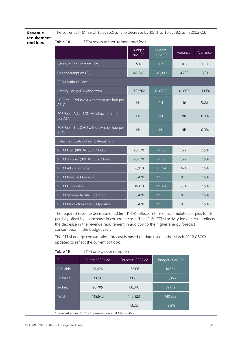The current STTM fee of \$0.03762/GJ is to decrease by 10.1% to \$0.03382/GJ in 2022-23.

**Revenue requirement and fees**

<span id="page-19-0"></span>**Table 14** STTM revenue requirement and fees

|                                                     | <b>Budget</b><br>2021-22 | <b>Budget</b><br>2022-23 | Variance  | Variance |
|-----------------------------------------------------|--------------------------|--------------------------|-----------|----------|
| Revenue Requirement (\$m)                           | 5.4                      | 4.7                      | $-0.6$    | $-11.1%$ |
| Gas consumption (TJ)                                | 145,642                  | 140,909                  | $-4,733$  | $-3.2%$  |
| <b>STTM Variable Fees</b>                           |                          |                          |           |          |
| Activity Fee (\$/GJ withdrawn)                      | 0.03762                  | 0.03382                  | $-0.0038$ | $-10.1%$ |
| PCF Fee - Syd (\$/GJ withdrawn per hub per<br>ABN)  | Nil                      | Nil                      | Nil       | 0.0%     |
| PCF Fee - Adel (\$/GJ withdrawn per hub<br>per ABN) | Nil                      | Nil                      | Nil       | 0.0%     |
| PCF Fee - Bris (\$/GJ withdrawn per hub per<br>ABN) | Nil                      | Nil                      | Nil       | 0.0%     |
| Initial Registration Fees (\$/Registration)         |                          |                          |           |          |
| STTM User (BRI, ADL, SYD hubs)                      | 20,870                   | 21,392                   | 522       | 2.5%     |
| STTM Shipper (BRI, ADL, SYD hubs)                   | 20,870                   | 21,392                   | 522       | 2.5%     |
| <b>STTM Allocation Agent</b>                        | 16,970                   | 17,394                   | 424       | 2.5%     |
| <b>STTM Pipeline Operator</b>                       | 36,470                   | 37,382                   | 912       | 2.5%     |
| <b>STTM Distributor</b>                             | 36,170                   | 37,074                   | 904       | 2.5%     |
| STTM Storage facility Operator                      | 36,470                   | 37,382                   | 912       | 2.5%     |
| <b>STTM Production Facility Operator</b>            | 36,470                   | 37,382                   | 912       | 2.5%     |

The required revenue decrease of \$0.6m (11.1%) reflects return of accumulated surplus funds partially offset by an increase in corporate costs. The 10.1% STTM activity fee decrease reflects the decrease in the revenue requirement in addition to the higher energy forecast consumption in the budget year.

The STTM energy consumption forecast is based on data used in the March 2022 GSOO, updated to reflect the current outlook.

| -TJ             | Budget 2021-22 | Forecast* 2021-22 | Budget 2022-23 |
|-----------------|----------------|-------------------|----------------|
| Adelaide        | 21,426         | 18,906            | 18,534         |
| <b>Brisbane</b> | 33,511         | 33,707            | 33,356         |
| Sydney          | 90,705         | 88,310            | 89,019         |
| Total           | 145,642        | 140,923           | 140,909        |
|                 |                | $-3.2%$           | $-3.2%$        |

#### <span id="page-19-1"></span>**Table 15** STTM energy consumption

\* Forecast annual 2021-22 consumption as at March 2022.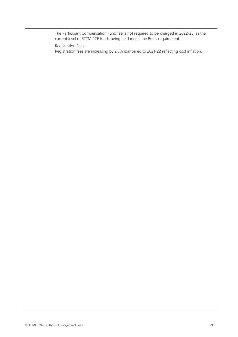The Participant Compensation Fund fee is not required to be charged in 2022-23, as the current level of STTM PCF funds being held meets the Rules requirement.

Registration Fees

Registration fees are increasing by 2.5% compared to 2021-22 reflecting cost inflation.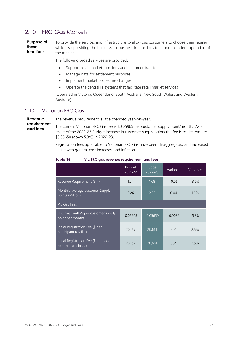### <span id="page-21-0"></span>2.10 FRC Gas Markets

**Purpose of these functions** To provide the services and infrastructure to allow gas consumers to choose their retailer while also providing the business-to-business interactions to support efficient operation of the market.

The following broad services are provided:

- Support retail market functions and customer transfers
- Manage data for settlement purposes
- Implement market procedure changes
- Operate the central IT systems that facilitate retail market services

(Operated in Victoria, Queensland, South Australia, New South Wales**,** and Western Australia)

#### 2.10.1 Victorian FRC Gas

**Revenue requirement and fees** The revenue requirement is little changed year-on-year. The current Victorian FRC Gas fee is \$0.05965 per customer supply point/month. As a result of the 2022-23 Budget increase in customer supply points the fee is to decrease to \$0.05650 (down 5.3%) in 2022-23.

> Registration fees applicable to Victorian FRC Gas have been disaggregated and increased in line with general cost increases and inflation.

|                                                                | <b>Budget</b><br>2021-22 | <b>Budget</b><br>2022-23 | Variance  | Variance |
|----------------------------------------------------------------|--------------------------|--------------------------|-----------|----------|
| Revenue Requirement (\$m)                                      | 1.74                     | 1.68                     | $-0.06$   | $-3.6%$  |
| Monthly average customer Supply<br>points (Million)            | 2.26                     | 2.29                     | 0.04      | 1.6%     |
| Vic Gas Fees                                                   |                          |                          |           |          |
| FRC Gas Tariff (\$ per customer supply<br>point per month)     | 0.05965                  | 0.05650                  | $-0.0032$ | $-5.3%$  |
| Initial Registration Fee (\$ per<br>participant retailer)      | 20,157                   | 20,661                   | 504       | 2.5%     |
| Initial Registration Fee (\$ per non-<br>retailer participant) | 20,157                   | 20,661                   | 504       | 2.5%     |

#### <span id="page-21-1"></span>**Table 16 Vic FRC gas revenue requirement and fees**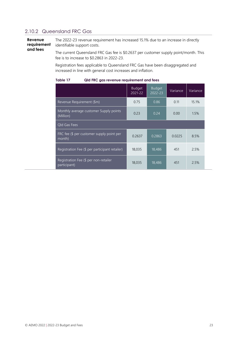## 2.10.2 Queensland FRC Gas

**Revenue requirement and fees** The 2022-23 revenue requirement has increased 15.1% due to an increase in directly identifiable support costs. The current Queensland FRC Gas fee is \$0.2637 per customer supply point/month. This fee is to increase to \$0.2863 in 2022-23.

Registration fees applicable to Queensland FRC Gas have been disaggregated and increased in line with general cost increases and inflation.

|                                                                 | <b>Budget</b><br>2021-22 | Budget<br>2022-23 | Variance | Variance |
|-----------------------------------------------------------------|--------------------------|-------------------|----------|----------|
| Revenue Requirement (\$m)                                       | 0.75                     | 0.86              | 0.11     | 15.1%    |
| Monthly average customer Supply points<br>(Million)             | 0.23                     | 0.24              | 0.00     | 1.5%     |
| <b>Qld Gas Fees</b>                                             |                          |                   |          |          |
| FRC fee $(\frac{1}{2})$ per customer supply point per<br>month) | 0.2637                   | 0.2863            | 0.0225   | 8.5%     |
| Registration Fee (\$ per participant retailer)                  | 18,035                   | 18,486            | 451      | 2.5%     |
| Registration Fee (\$ per non-retailer<br>participant)           | 18,035                   | 18,486            | 451      | 2.5%     |

#### <span id="page-22-0"></span>**Table 17 Qld FRC gas revenue requirement and fees**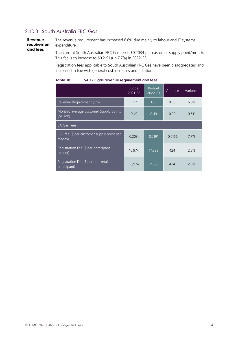### 2.10.3 South Australia FRC Gas

**Revenue requirement and fees** The revenue requirement has increased 6.6% due mainly to labour and IT systems expenditure.

The current South Australian FRC Gas fee is \$0.2034 per customer supply point/month. This fee is to increase to \$0.2191 (up 7.7%) in 2022-23.

Registration fees applicable to South Australian FRC Gas have been disaggregated and increased in line with general cost increases and inflation.

<span id="page-23-0"></span>

| Table 18 |  |  | SA FRC gas revenue requirement and fees |
|----------|--|--|-----------------------------------------|
|----------|--|--|-----------------------------------------|

|                                                       | <b>Budget</b><br>2021-22 | <b>Budget</b><br>$\overline{2022} - 23$ | Variance | Variance |
|-------------------------------------------------------|--------------------------|-----------------------------------------|----------|----------|
| Revenue Requirement (\$m)                             | 1.27                     | 1.35                                    | 0.08     | 6.6%     |
| Monthly average customer Supply points<br>(Million)   | 0.49                     | $\overline{0.49}$                       | 0.00     | 0.6%     |
| <b>SA Gas Fees</b>                                    |                          |                                         |          |          |
| FRC fee (\$ per customer supply point per<br>month)   | 0.2034                   | 0.2191                                  | 0.0156   | 7.7%     |
| Registration Fee (\$ per participant<br>retailer)     | 16,974                   | 17,399                                  | 424      | 2.5%     |
| Registration Fee (\$ per non-retailer<br>participant) | 16,974                   | 17,399                                  | 424      | 2.5%     |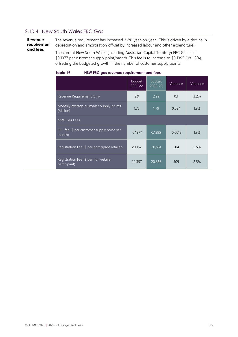### 2.10.4 New South Wales FRC Gas

**Revenue requirement and fees**

The revenue requirement has increased 3.2% year-on-year. This is driven by a decline in depreciation and amortisation off-set by increased labour and other expenditure.

The current New South Wales (including Australian Capital Territory) FRC Gas fee is \$0.1377 per customer supply point/month. This fee is to increase to \$0.1395 (up 1.3%), offsetting the budgeted growth in the number of customer supply points.

<span id="page-24-0"></span>

| Table 19 |  | NSW FRC gas revenue requirement and fees |  |
|----------|--|------------------------------------------|--|
|          |  |                                          |  |

|                                                       | <b>Budget</b><br>2021-22 | <b>Budget</b><br>2022-23 | Variance | Variance |
|-------------------------------------------------------|--------------------------|--------------------------|----------|----------|
| Revenue Requirement (\$m)                             | 2.9                      | 2.99                     | 0.1      | 3.2%     |
| Monthly average customer Supply points<br>(Million)   | 1.75                     | 1.79                     | 0.034    | 1.9%     |
| NSW Gas Fees                                          |                          |                          |          |          |
| FRC fee (\$ per customer supply point per<br>month)   | 0.1377                   | 0.1395                   | 0.0018   | 1.3%     |
| Registration Fee (\$ per participant retailer)        | 20,157                   | 20,661                   | 504      | 2.5%     |
| Registration Fee (\$ per non-retailer<br>participant) | 20,357                   | 20,866                   | 509      | 2.5%     |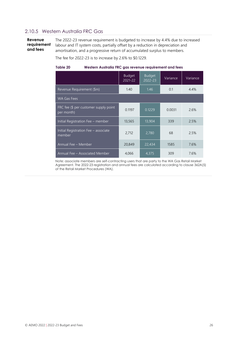### 2.10.5 Western Australia FRC Gas

**Revenue requirement and fees** The 2022-23 revenue requirement is budgeted to increase by 4.4% due to increased labour and IT system costs, partially offset by a reduction in depreciation and amortisation, and a progressive return of accumulated surplus to members.

The fee for 2022-23 is to increase by 2.6% to \$0.1229.

#### <span id="page-25-0"></span>**Table 20 Western Australia FRC gas revenue requirement and fees**

|                                                     | <b>Budget</b><br>2021-22 | <b>Budget</b><br>$2022 - 23$ | Variance | Variance |
|-----------------------------------------------------|--------------------------|------------------------------|----------|----------|
| Revenue Requirement (\$m)                           | 1.40                     | 1.46                         | 0.1      | 4.4%     |
| <b>WA Gas Fees</b>                                  |                          |                              |          |          |
| FRC fee (\$ per customer supply point<br>per month) | 0.1197                   | 0.1229                       | 0.0031   | 2.6%     |
| Initial Registration Fee - member                   | 13,565                   | 13,904                       | 339      | 2.5%     |
| Initial Registration Fee - associate<br>member      | 2,712                    | 2,780                        | 68       | 2.5%     |
| Annual Fee - Member                                 | 20,849                   | 22,434                       | 1585     | 7.6%     |
| Annual Fee - Associated Member                      | 4,066                    | 4,375                        | 309      | 7.6%     |

Note: associate members are self-contracting users that are party to the WA Gas Retail Market Agreement. The 2022-23 registration and annual fees are calculated according to clause 362A(5) of the Retail Market Procedures (WA).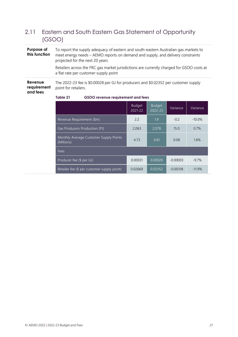## <span id="page-26-0"></span>2.11 Eastern and South Eastern Gas Statement of Opportunity (GSOO)

| Purpose of<br>this function        |                                        | To report the supply adequacy of eastern and south-eastern Australian gas markets to<br>meet energy needs – AEMO reports on demand and supply, and delivery constraints<br>projected for the next 20 years<br>Retailers across the FRC gas market jurisdictions are currently charged for GSOO costs at<br>a flat rate per customer supply point |
|------------------------------------|----------------------------------------|--------------------------------------------------------------------------------------------------------------------------------------------------------------------------------------------------------------------------------------------------------------------------------------------------------------------------------------------------|
| Revenue<br>requirement<br>and fees | point for retailers.<br>$T1$ $\sim$ 01 | The 2022-23 fee is \$0.00028 per GJ for producers and \$0.02352 per customer supply<br>$C2$ $C2$ $C3$ $C4$ $C5$ $C6$ $C7$ $C8$ $C9$ $C1$ $C1$ $C2$ $C3$ $C4$ $C5$ $C6$                                                                                                                                                                           |

|                                                      | <b>Budget</b><br>$2021 - 22$ | <b>Budget</b><br>2022-23 | Variance   | Variance  |
|------------------------------------------------------|------------------------------|--------------------------|------------|-----------|
| Revenue Requirement (\$m)                            | 2.2                          | 1.9                      | $-0.2$     | $-10.0\%$ |
| Gas Producers Production (PJ)                        | 2,063                        | 2,078                    | 15.0       | 0.7%      |
| Monthly Average Customer Supply Points<br>(Millions) | 4.73                         | 4.81                     | 0.08       | 1.6%      |
| <b>Fees</b>                                          |                              |                          |            |           |
| Producer fee (\$ per GJ)                             | 0.00031                      | 0.00028                  | $-0.00003$ | $-9.7\%$  |
| Retailer fee (\$ per customer supply point)          | 0.02669                      | 0.02352                  | $-0.00318$ | $-11.9%$  |

#### <span id="page-26-1"></span>**Table 21 GSOO revenue requirement and fees**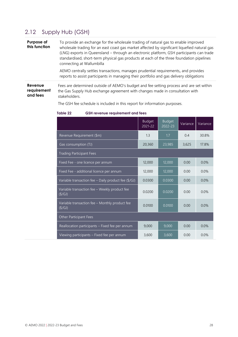## <span id="page-27-0"></span>2.12 Supply Hub (GSH)

**Purpose of this function** To provide an exchange for the wholesale trading of natural gas to enable improved wholesale trading for an east coast gas market affected by significant liquefied natural gas (LNG) exports in Queensland – through an electronic platform, GSH participants can trade standardised, short-term physical gas products at each of the three foundation pipelines connecting at Wallumbilla

> AEMO centrally settles transactions, manages prudential requirements**,** and provides reports to assist participants in managing their portfolio and gas delivery obligations

**Revenue requirement and fees** Fees are determined outside of AEMO's budget and fee setting process and are set within the Gas Supply Hub exchange agreement with changes made in consultation with stakeholders.

> Budget 2021-22 Budget 2022-23 Variance Variance Revenue Requirement (\$m) 1.3 1.3 1.7 0.4 30.8% Gas consumption (TJ) 20,360 23,985 3,625 17.8% Trading Participant Fees Fixed Fee - one licence per annum 12,000 12,000 12,000 12,000 12,000 12,000 12,000 12,000 12,000 12,000 12,00 Fixed Fee - additional licence per annum 12,000 12,000 0.00 0.0% Variable transaction fee – Daily product fee  $(\frac{5}{6})$  0.0300 0.0300 0.00 0.0% Variable transaction fee – Weekly product fee vanual duristicity recently product recently 0.0200 0.0200 0.00 0.0% Variable transaction fee – Monthly product fee vanual durisdedon de Monding product de 0.0100 0.0100 0.000 0.0%<br>(\$/GJ) Other Participant Fees Reallocation participants – Fixed fee per annum  $\begin{array}{|c|c|c|c|c|c|c|c|c|} \hline 9,000 & 9,000 & 0.00 & 0.00 \ \hline \end{array}$ Viewing participants – Fixed fee per annum 1886 1986 0.00 10.00 10.00 10.0%

The GSH fee schedule is included in this report for information purposes.

<span id="page-27-1"></span>**Table 22 GSH revenue requirement and fees**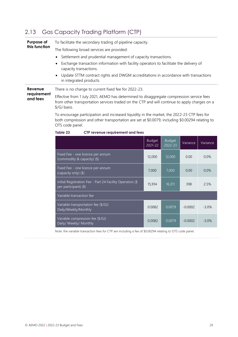## <span id="page-28-0"></span>2.13 Gas Capacity Trading Platform (CTP)

| Purpose of<br>this function | To facilitate the secondary trading of pipeline capacity.                                                                                                                                                                                                                                                                                                                                                                   |                          |                          |          |          |  |
|-----------------------------|-----------------------------------------------------------------------------------------------------------------------------------------------------------------------------------------------------------------------------------------------------------------------------------------------------------------------------------------------------------------------------------------------------------------------------|--------------------------|--------------------------|----------|----------|--|
|                             | The following broad services are provided:                                                                                                                                                                                                                                                                                                                                                                                  |                          |                          |          |          |  |
|                             | Settlement and prudential management of capacity transactions.                                                                                                                                                                                                                                                                                                                                                              |                          |                          |          |          |  |
|                             | Exchange transaction information with facility operators to facilitate the delivery of<br>capacity transactions.                                                                                                                                                                                                                                                                                                            |                          |                          |          |          |  |
|                             | Update STTM contract rights and DWGM accreditations in accordance with transactions<br>in integrated products.                                                                                                                                                                                                                                                                                                              |                          |                          |          |          |  |
| Revenue                     | There is no change to current fixed fee for 2022-23.                                                                                                                                                                                                                                                                                                                                                                        |                          |                          |          |          |  |
| requirement<br>and fees     | Effective from 1 July 2021, AEMO has determined to disaggregate compression service fees<br>from other transportation services traded on the CTP and will continue to apply charges on a<br>\$/GJ basis.<br>To encourage participation and increased liquidity in the market, the 2022-23 CTP fees for<br>both compression and other transportation are set at \$0.0079, including \$0.00294 relating to<br>OTS code panel. |                          |                          |          |          |  |
|                             |                                                                                                                                                                                                                                                                                                                                                                                                                             |                          |                          |          |          |  |
|                             | Table 23<br>CTP revenue requirement and fees                                                                                                                                                                                                                                                                                                                                                                                |                          |                          |          |          |  |
|                             |                                                                                                                                                                                                                                                                                                                                                                                                                             | <b>Budget</b><br>2021-22 | <b>Budget</b><br>2022-23 | Variance | Variance |  |
|                             | Fixed Fee - one licence per annum<br>(commodity & capacity) (\$)                                                                                                                                                                                                                                                                                                                                                            | 12,000                   | 12,000                   | 0.00     | 0.0%     |  |
|                             | Fixed Fee - one licence per annum<br>(capacity only) (\$)                                                                                                                                                                                                                                                                                                                                                                   | 7,000                    | 7,000                    | 0.00     | 0.0%     |  |

<span id="page-28-1"></span>

| (commodity & capacity) (\$)                                                        |        |        |           |         |
|------------------------------------------------------------------------------------|--------|--------|-----------|---------|
| Fixed Fee - one licence per annum<br>(capacity only) (\$)                          | 7,000  | 7.000  | 0.00      | 0.0%    |
| Initial Registration Fee - Part 24 Facility Operators (\$<br>per participant) (\$) | 15,914 | 16,311 | 398       | 2.5%    |
| Variable transaction fee                                                           |        |        |           |         |
| Variable transportation fee (\$/GJ)<br>Daily/Weekly/Monthly                        | 0.0082 | 0.0079 | $-0.0002$ | $-3.0%$ |
| Variable compression fee (\$/GJ)                                                   | 0.0082 | 0.0079 | $-0.0002$ | -3.0%   |

Note: the variable transaction fees for CTP are including a fee of \$0.00294 relating to OTS code panel.

Variable compression ree (\$7GD)<br>Daily/ Weekly/ Monthly 0.0082 0.0079 -0.0002 -3.0%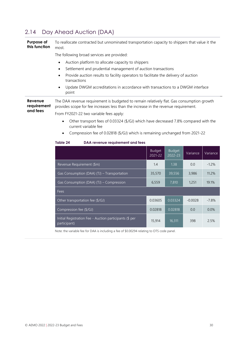## <span id="page-29-0"></span>2.14 Day Ahead Auction (DAA)

**Purpose of this function** To reallocate contracted but unnominated transportation capacity to shippers that value it the most.

The following broad services are provided:

- Auction platform to allocate capacity to shippers
- Settlement and prudential management of auction transactions
- Provide auction results to facility operators to facilitate the delivery of auction transactions
- Update DWGM accreditations in accordance with transactions to a DWGM interface point

**Revenue requirement and fees** The DAA revenue requirement is budgeted to remain relatively flat. Gas consumption growth provides scope for fee increases less than the increase in the revenue requirement.

From FY2021-22 two variable fees apply:

- Other transport fees of 0.03324 (\$/GJ) which have decreased 7.8% compared with the current variable fee
- Compression fee of 0.02818 (\$/GJ) which is remaining unchanged from 2021-22

#### <span id="page-29-1"></span>**Table 24 DAA revenue requirement and fees**

|                                                                         | <b>Budget</b><br>2021-22 | <b>Budget</b><br>2022-23 | Variance  | Variance |
|-------------------------------------------------------------------------|--------------------------|--------------------------|-----------|----------|
| Revenue Requirement (\$m)                                               | 1.4                      | 1.38                     | 0.0       | $-1.2%$  |
| Gas Consumption (DAA) (TJ) - Transportation                             | 35,570                   | 39,556                   | 3,986     | 11.2%    |
| Gas Consumption (DAA) (TJ) - Compression                                | 6,559                    | 7,810                    | 1,251     | 19.1%    |
| Fees                                                                    |                          |                          |           |          |
| Other transportation fee (\$/GJ)                                        | 0.03605                  | 0.03324                  | $-0.0028$ | $-7.8%$  |
| Compression fee (\$/GJ)                                                 | 0.02818                  | 0.02818                  | 0.0       | 0.0%     |
| Initial Registration Fee - Auction participants (\$ per<br>participant) | 15,914                   | 16,311                   | 398       | 2.5%     |

Note: the variable fee for DAA is including a fee of \$0.00294 relating to OTS code panel.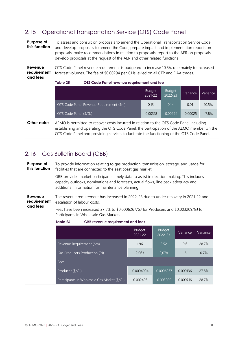## <span id="page-30-0"></span>2.15 Operational Transportation Service (OTS) Code Panel

<span id="page-30-2"></span>

| Purpose of<br>this function        | To assess and consult on proposals to amend the Operational Transportation Service Code<br>and develop proposals to amend the Code, prepare impact and implementation reports on<br>proposals, make recommendations in relation to proposals, report to the AER on proposals,<br>develop proposals at the request of the AER and other related functions |                          |                          |            |          |
|------------------------------------|----------------------------------------------------------------------------------------------------------------------------------------------------------------------------------------------------------------------------------------------------------------------------------------------------------------------------------------------------------|--------------------------|--------------------------|------------|----------|
| Revenue<br>requirement<br>and fees | OTS Code Panel revenue requirement is budgeted to increase 10.5% due mainly to increased<br>forecast volumes. The fee of \$0.00294 per GJ is levied on all CTP and DAA trades.<br>Table 25<br>OTS Code Panel revenue requirement and fee                                                                                                                 |                          |                          |            |          |
|                                    |                                                                                                                                                                                                                                                                                                                                                          | <b>Budget</b><br>2021-22 | <b>Budget</b><br>2022-23 | Variance   | Variance |
|                                    | OTS Code Panel Revenue Requirement (\$m)                                                                                                                                                                                                                                                                                                                 | 0.13                     | 0.14                     | 0.01       | 10.5%    |
|                                    | OTS Code Panel (\$/GJ)                                                                                                                                                                                                                                                                                                                                   | 0.00318                  | 0.00294                  | $-0.00025$ | $-7.8%$  |
| Other notes                        | AEMO is permitted to recover costs incurred in relation to the OTS Code Panel including<br>establishing and operating the OTS Code Panel, the participation of the AEMO member on the                                                                                                                                                                    |                          |                          |            |          |

OTS Code Panel and providing services to facilitate the functioning of the OTS Code Panel.

## <span id="page-30-1"></span>2.16 Gas Bulletin Board (GBB)

**Purpose of this function** To provide information relating to gas production, transmission, storage, and usage for facilities that are connected to the east coast gas market GBB provides market participants timely data to assist in decision making. This includes capacity outlooks, nominations and forecasts, actual flows, line pack adequacy and additional information for maintenance planning **Revenue requirement and fees** The revenue requirement has increased in 2022-23 due to under recovery in 2021-22 and escalation of labour costs. Fees have been increased 27.8% to \$0.0006267/GJ for Producers and \$0.003209/GJ for Participants in Wholesale Gas Markets.

|                                              | <b>Budget</b><br>2021-22 | <b>Budget</b><br>2022-23 | Variance | Variance |
|----------------------------------------------|--------------------------|--------------------------|----------|----------|
| Revenue Requirement (\$m)                    | 1.96                     | 2.52                     | 0.6      | 28.7%    |
| Gas Producers Production (PJ)                | 2,063                    | 2,078                    | 15       | 0.7%     |
| Fees                                         |                          |                          |          |          |
| Producer (\$/GJ)                             | 0.0004904                | 0.0006267                | 0.000136 | 27.8%    |
| Participants in Wholesale Gas Market (\$/GJ) | 0.002493                 | 0.003209                 | 0.000716 | 28.7%    |

#### <span id="page-30-3"></span>**Table 26 GBB revenue requirement and fees**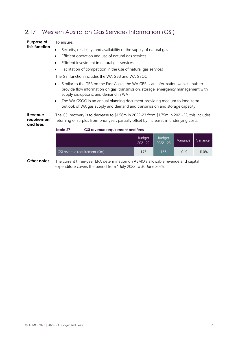<span id="page-31-1"></span>

| Purpose of                         | To ensure:                                                                                                                                                                                                                  |                                                                                                                                                                                          |                          |                              |          |          |  |
|------------------------------------|-----------------------------------------------------------------------------------------------------------------------------------------------------------------------------------------------------------------------------|------------------------------------------------------------------------------------------------------------------------------------------------------------------------------------------|--------------------------|------------------------------|----------|----------|--|
| this function                      | Security, reliability, and availability of the supply of natural gas                                                                                                                                                        |                                                                                                                                                                                          |                          |                              |          |          |  |
|                                    | $\bullet$                                                                                                                                                                                                                   | Efficient operation and use of natural gas services                                                                                                                                      |                          |                              |          |          |  |
|                                    | $\bullet$                                                                                                                                                                                                                   | Efficient investment in natural gas services                                                                                                                                             |                          |                              |          |          |  |
|                                    | $\bullet$                                                                                                                                                                                                                   | Facilitation of competition in the use of natural gas services                                                                                                                           |                          |                              |          |          |  |
|                                    |                                                                                                                                                                                                                             | The GSI function includes the WA GBB and WA GSOO:                                                                                                                                        |                          |                              |          |          |  |
|                                    | Similar to the GBB on the East Coast, the WA GBB is an information website hub to<br>$\bullet$<br>provide flow information on gas, transmission, storage, emergency management with<br>supply disruptions, and demand in WA |                                                                                                                                                                                          |                          |                              |          |          |  |
|                                    | $\bullet$                                                                                                                                                                                                                   | The WA GSOO is an annual planning document providing medium to long-term<br>outlook of WA gas supply and demand and transmission and storage capacity.                                   |                          |                              |          |          |  |
| Revenue<br>requirement<br>and fees |                                                                                                                                                                                                                             | The GSI recovery is to decrease to \$1.56m in 2022-23 from \$1.75m in 2021-22, this includes<br>returning of surplus from prior year, partially offset by increases in underlying costs. |                          |                              |          |          |  |
|                                    | Table 27                                                                                                                                                                                                                    | <b>GSI revenue requirement and fees</b>                                                                                                                                                  |                          |                              |          |          |  |
|                                    |                                                                                                                                                                                                                             |                                                                                                                                                                                          | <b>Budget</b><br>2021-22 | <b>Budget</b><br>$2022 - 23$ | Variance | Variance |  |
|                                    |                                                                                                                                                                                                                             | GSI revenue requirement (\$m)                                                                                                                                                            | 1.75                     | 1.56                         | $-0.19$  | $-11.0%$ |  |
| Other notes                        |                                                                                                                                                                                                                             | The current three-year ERA determination on AEMO's allowable revenue and capital<br>expenditure covers the period from 1 July 2022 to 30 June 2025.                                      |                          |                              |          |          |  |
|                                    |                                                                                                                                                                                                                             |                                                                                                                                                                                          |                          |                              |          |          |  |

## <span id="page-31-0"></span>2.17 Western Australian Gas Services Information (GSI)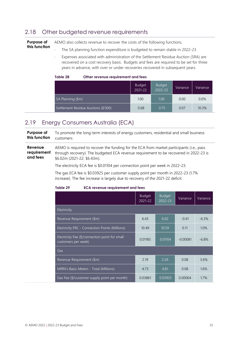## <span id="page-32-0"></span>2.18 Other budgeted revenue requirements

| Purpose of    | AEMO also collects revenue to recover the costs of the following functions.  |
|---------------|------------------------------------------------------------------------------|
| this function | The SA planning function expenditure is budgeted to remain stable in 2022-23 |

 Expenses associated with administration of the Settlement Residue Auction (SRA) are recovered on a cost recovery basis. Budgets and fees are required to be set for three years in advance, with over or under recoveries recovered in subsequent years.

<span id="page-32-2"></span>

| Table 28 |  | Other revenue requirement and fees |
|----------|--|------------------------------------|
|----------|--|------------------------------------|

|                                      | <b>Budget</b><br>$2021 - 22$ | <b>Budget</b><br>$2022 - 23$ | Variance | Variance |
|--------------------------------------|------------------------------|------------------------------|----------|----------|
| SA Planning (\$m)                    | 1.00                         | 1.00                         | 0.00     | 0.0%     |
| Settlement Residue Auctions (\$'000) | 0.68                         | 0.75                         | 0.07     | 10.3%    |

## <span id="page-32-1"></span>2.19 Energy Consumers Australia (ECA)

**Purpose of this function** To promote the long-term interests of energy customers, residential and small business customers

**Revenue requirement and fees** AEMO is required to recover the funding for the ECA from market participants (i.e., pass through recovery). The budgeted ECA revenue requirement to be recovered in 2022-23 is \$6.02m (2021-22: \$6.43m).

The electricity ECA fee is \$0.01104 per connection point per week in 2022-23.

The gas ECA fee is \$0.03925 per customer supply point per month in 2022-23 (1.7% increase). The fee increase is largely due to recovery of the 2021-22 deficit.

<span id="page-32-3"></span>

| Table 29 |  | <b>ECA revenue requirement and fees</b> |  |
|----------|--|-----------------------------------------|--|
|----------|--|-----------------------------------------|--|

|                                                                       | <b>Budget</b><br>2021-22 | <b>Budget</b><br>2022-23 | Variance   | Variance |
|-----------------------------------------------------------------------|--------------------------|--------------------------|------------|----------|
| Electricity                                                           |                          |                          |            |          |
| Revenue Requirement (\$m)                                             | 6.43                     | 6.02                     | $-0.41$    | $-6.3%$  |
| <b>Electricity FRC - Connection Points (Millions)</b>                 | 10.49                    | 10.59                    | 0.11       | 1.0%     |
| Electricity Fee (\$/connection point for small<br>customers per week) | 0.01185                  | 0.01104                  | $-0.00081$ | $-6.8%$  |
| Gas                                                                   |                          |                          |            |          |
| Revenue Requirement (\$m)                                             | 2.19                     | 2.26                     | 0.08       | 3.6%     |
| MIRN's Basic Meters - Total (Millions)                                | 4.73                     | 4.81                     | 0.08       | 1.6%     |
| Gas Fee (\$/customer supply point per month)                          | 0.03861                  | 0.03925                  | 0.00064    | 1.7%     |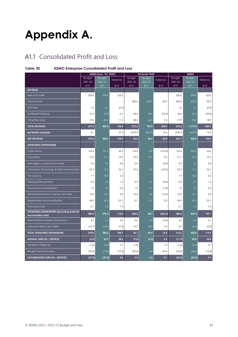# <span id="page-33-0"></span>**Appendix A.**

## <span id="page-33-1"></span>A1.1 Consolidated Profit and Loss

### <span id="page-33-2"></span>**Table 30 AEMO Enterprise Consolidated Profit and Loss**

|                                                                 |                             | AEMO (excl. Vic TNSP)       |               |                            | <b>Victorian TNSP</b>     |               |                          | <b>AEMO</b>                 |               |
|-----------------------------------------------------------------|-----------------------------|-----------------------------|---------------|----------------------------|---------------------------|---------------|--------------------------|-----------------------------|---------------|
|                                                                 | <b>Budget</b>               | <b>Budget</b>               | Variance      | <b>Budget</b>              | <b>Budget</b>             | Variance      | <b>Budget</b>            | <b>Budget</b>               | Variance      |
|                                                                 | 2021-22<br>$\mathcal{S}$ 'm | 2022-23<br>$\mathcal{S}$ 'm | $\frac{m}{2}$ | 2021-22<br>$\mathsf{I}'$ m | 2022-23<br>$\mathsf{S}^m$ | $\frac{m}{2}$ | 2021-22<br>$\frac{m}{2}$ | 2022-23<br>$\mathcal{S}$ 'm | $\frac{m}{2}$ |
| <b>REVENUE</b>                                                  |                             |                             |               |                            |                           |               |                          |                             |               |
| Fees and Tariffs                                                | 255.0                       | 378.5                       | 123.5         |                            |                           |               | 255.0                    | 378.5                       | 123.5         |
| <b>TUoS Income</b>                                              |                             |                             |               | 603.0                      | 623.9                     | 20.9          | 603.0                    | 623.9                       | 20.9          |
| <b>PCF Fees</b>                                                 | 1.0                         | 0.1                         | (0.9)         |                            |                           |               | 1.0                      | 0.1                         | (0.9)         |
| Settlement Residue                                              | (0.1)                       | (0.0)                       | 0.1           | 43.5                       | 20.0                      | (23.5)        | 43.4                     | 20.0                        | (23.4)        |
| Other Revenue                                                   | 19.5                        | 30.8                        | 11.3          | 58.4                       | 66.0                      | 7.6           | 77.9                     | 96.8                        | 18.9          |
| <b>TOTAL REVENUE</b>                                            | 275.5                       | 409.3                       | 133.8         | 275.5                      | 709.9                     | 434.4         | 275.5                    | 1,119.2                     | 843.7         |
| <b>NETWORK CHARGES</b>                                          | 0.1                         |                             | (0.1)         | (678.7)                    | (663.3)                   | 15.4          | (678.7)                  | (663.3)                     | 15.3          |
| <b>NET REVENUE</b>                                              | 275.5                       | 409.3                       | 133.9         | 26.2                       | 46.6                      | 20.4          | 301.7                    | 455.9                       | 154.3         |
| <b>OPERATING EXPENDITURE</b>                                    |                             |                             |               |                            |                           |               |                          |                             |               |
| <b>Total Labour</b>                                             | 155.6                       | 191.4                       | 35.9          | 155.6                      | 17.8                      | (137.8)       | 155.6                    | 209.2                       | 53.6          |
| Consulting                                                      | 10.9                        | 21.1                        | 10.2          | 10.2                       | 10.7                      | 0.5           | 21.1                     | 31.8                        | 10.7          |
| Fees-Agency, Licence and Audit                                  | 2.0                         | 2.6                         | 0.6           | 2.0                        |                           | (2.0)         | 2.0                      | 2.6                         | 0.6           |
| Information Technology & Telecommunication                      | 47.3                        | 71.5                        | 24.1          | 47.3                       | 0.0                       | (47.3)        | 47.3                     | 71.5                        | 24.1          |
| Occupancy                                                       | 7.7                         | 10.0                        | 2.3           |                            |                           |               | 7.7                      | 10.0                        | 2.3           |
| Training & Recruitment                                          | 3.5                         | 5.0                         | 1.5           | 3.5                        | 0.1                       | (3.4)         | 3.5                      | 5.1                         | 1.6           |
| Travel & Accommodation                                          | 1.9                         | 2.3                         | 0.4           | 1.9                        | 0.1                       | (1.8)         | 1.9                      | 2.3                         | 0.5           |
| Other Expenses from Ordinary Activities                         | 10.2                        | 13.1                        | 2.9           | 10.2                       | 0.0                       | (10.2)        | 10.2                     | 13.1                        | 2.9           |
| Depreciation and Amortisation                                   | 43.9                        | 69.0                        | 25.1          | 0.1                        | 0.1                       | 0.0           | 43.9                     | 69.0                        | 25.1          |
| <b>Financing Costs</b>                                          | 2.1                         | 9.4                         | 7.4           |                            |                           |               | 2.1                      | 9.4                         | 7.4           |
| OPERATING EXPENDITURE (excluding external<br>recoverable costs) | 285.0                       | 395.4                       | 110.4         | 285.0                      | 28.7                      | (256.3)       | 285.0                    | 424.2                       | 139.1         |
| <b>External Recoverable Consultancy</b>                         | 3.6                         | 6.2                         | 2.6           | 3.6                        | 3.2                       | (0.4)         | 3.6                      | 9.3                         | 5.7           |
| Corporate Recovery (TNSP)                                       | (10.7)                      | (18.0)                      | (7.3)         | 10.7                       | 18.0                      | 7.3           | 0.0                      | (0.0)                       | (0.0)         |
| <b>TOTAL OPERATING EXPENDITURE</b>                              | 278.0                       | 383.6                       | 105.7         | 35.7                       | 49.9                      | 14.2          | 313.6                    | 433.5                       | 119.9         |
| <b>ANNUAL SURPLUS / (DEFICIT)</b>                               | (2.5)                       | 25.7                        | 28.2          | (9.5)                      | (3.3)                     | 6.2           | (11.9)                   | 22.4                        | 34.4          |
| Transfers to Reserves                                           | (1.0)                       | (0.3)                       | 0.7           | (1.0)                      |                           | 1.0           | (1.0)                    | (0.3)                       | 0.7           |
| <b>Brought Forward Surplus</b>                                  | (53.6)                      | (72.8)                      | (19.3)        | (53.6)                     | 6.8                       | 60.4          | (53.6)                   | (66.0)                      | (12.4)        |
| <b>ACCUMULATED SURPLUS / (DEFICIT)</b>                          | (57.0)                      | (47.4)                      | 9.6           | 3.5                        | 3.6                       | 0.1           | (53.5)                   | (43.9)                      | 9.6           |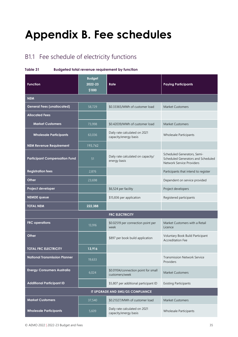# <span id="page-34-0"></span>**Appendix B. Fee schedules**

## <span id="page-34-1"></span>B1.1 Fee schedule of electricity functions

#### <span id="page-34-2"></span>**Table 31 Budgeted total revenue requirement by function**

| <b>Function</b>                      | <b>Budget</b><br>2022-23<br>\$'000 | Rate                                                   | <b>Paying Participants</b>                                                                     |
|--------------------------------------|------------------------------------|--------------------------------------------------------|------------------------------------------------------------------------------------------------|
| <b>NEM</b>                           |                                    |                                                        |                                                                                                |
| <b>General Fees (unallocated)</b>    | 58,729                             | \$0.33365/MWh of customer load                         | <b>Market Customers</b>                                                                        |
| <b>Allocated Fees</b>                |                                    |                                                        |                                                                                                |
| <b>Market Customers</b>              | 73,998                             | \$0.42039/MWh of customer load                         | <b>Market Customers</b>                                                                        |
| <b>Wholesale Participants</b>        | 63,036                             | Daily rate calculated on 2021<br>capacity/energy basis | Wholesale Participants                                                                         |
| <b>NEM Revenue Requirement</b>       | 195,762                            |                                                        |                                                                                                |
| <b>Participant Compensation Fund</b> | 51                                 | Daily rate calculated on capacity/<br>energy basis     | Scheduled Generators, Semi-<br>Scheduled Generators and Scheduled<br>Network Service Providers |
| <b>Registration fees</b>             | 2,876                              |                                                        | Participants that intend to register                                                           |
| Other                                | 23,698                             |                                                        | Dependent on service provided                                                                  |
| Project developer                    |                                    | \$6,524 per facility                                   | Project developers                                                                             |
| <b>NEMDE</b> queue                   |                                    | \$15,836 per application                               | Registered participants                                                                        |
| <b>TOTAL NEM</b>                     | 222,388                            |                                                        |                                                                                                |
|                                      |                                    | <b>FRC ELECTRICITY</b>                                 |                                                                                                |
| <b>FRC</b> operations                | 13,916                             | \$0.02519 per connection point per<br>week             | Market Customers with a Retail<br>Licence                                                      |
| Other                                |                                    | \$897 per book build application                       | Voluntary Book Build Participant<br><b>Accreditation Fee</b>                                   |
| <b>TOTAL FRC ELECTRICITY</b>         | 13,916                             |                                                        |                                                                                                |
| <b>National Transmission Planner</b> | 19,633                             |                                                        | <b>Transmission Network Service</b><br>Providers                                               |
| <b>Energy Consumers Australia</b>    | 6,024                              | \$0.01104/connection point for small<br>customers/week | <b>Market Customers</b>                                                                        |
| <b>Additional Participant ID</b>     |                                    | \$5,807 per additional participant ID                  | <b>Existing Participants</b>                                                                   |
|                                      |                                    | IT UPGRADE AND 5MS/GS COMPLIANCE                       |                                                                                                |
| <b>Market Customers</b>              | 37,540                             | \$0.21327/MWh of customer load                         | <b>Market Customers</b>                                                                        |
| <b>Wholesale Participants</b>        | 5,609                              | Daily rate calculated on 2021<br>capacity/energy basis | Wholesale Participants                                                                         |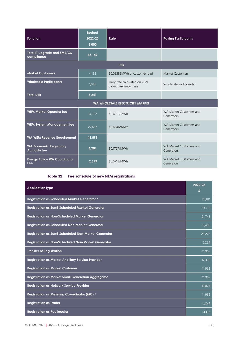| <b>Function</b>                                       | <b>Budget</b><br>2022-23<br>\$'000 | Rate                                                   | <b>Paying Participants</b>            |
|-------------------------------------------------------|------------------------------------|--------------------------------------------------------|---------------------------------------|
| Total IT upgrade and 5MS/GS<br>compliance             | 43,149                             |                                                        |                                       |
|                                                       |                                    | <b>DER</b>                                             |                                       |
| <b>Market Customers</b>                               | 4,192                              | \$0.02382MWh of customer load                          | Market Customers                      |
| <b>Wholesale Participants</b>                         | 1,048                              | Daily rate calculated on 2021<br>capacity/energy basis | <b>Wholesale Participants</b>         |
| <b>Total DER</b>                                      | 5,241                              |                                                        |                                       |
|                                                       |                                    | WA WHOLESALE ELECTRICITY MARKET                        |                                       |
| <b>WEM Market Operator fee</b>                        | 14,232                             | \$0.4913/MWh                                           | WA Market Customers and<br>Generators |
| <b>WEM System Management fee</b>                      | 27,667                             | \$0.6646/MWh                                           | WA Market Customers and<br>Generators |
| <b>WA WEM Revenue Requirement</b>                     | 41,899                             |                                                        |                                       |
| <b>WA Economic Regulatory</b><br><b>Authority fee</b> | 6,201                              | \$0.1727/MWh                                           | WA Market Customers and<br>Generators |
| <b>Energy Policy WA Coordinator</b><br>Fee            | 2,579                              | \$0.0718/MWh                                           | WA Market Customers and<br>Generators |

**Table 32 Fee schedule of new NEM registrations**

<span id="page-35-0"></span>

| <b>Application type</b>                                    | 2022-23<br>\$ |
|------------------------------------------------------------|---------------|
| Registration as Scheduled Market Generator A               | 25,011        |
| <b>Registration as Semi-Scheduled Market Generator</b>     | 33,710        |
| <b>Registration as Non-Scheduled Market Generator</b>      | 21,748        |
| <b>Registration as Scheduled Non-Market Generator</b>      | 18,486        |
| <b>Registration as Semi-Scheduled Non-Market Generator</b> | 28,273        |
| <b>Registration as Non-Scheduled Non-Market Generator</b>  | 15,224        |
| <b>Transfer of Registration</b>                            | 11,962        |
| Registration as Market Ancillary Service Provider          | 17,399        |
| <b>Registration as Market Customer</b>                     | 11,962        |
| <b>Registration as Market Small Generation Aggregator</b>  | 11,962        |
| <b>Registration as Network Service Provider</b>            | 10,874        |
| Registration as Metering Co-ordinator (MC) B               | 11,962        |
| <b>Registration as Trader</b>                              | 15,224        |
| <b>Registration as Reallocator</b>                         | 14,136        |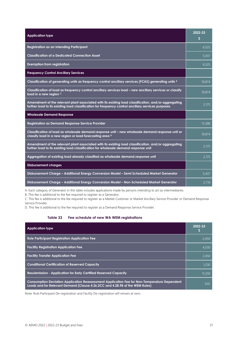| <b>Application type</b>                                                                                                                                                                                    | 2022-23<br>S |
|------------------------------------------------------------------------------------------------------------------------------------------------------------------------------------------------------------|--------------|
| <b>Registration as an Intending Participant</b>                                                                                                                                                            | 6.525        |
| <b>Classification of a Dedicated Connection Asset</b>                                                                                                                                                      | 5,437        |
| <b>Exemption from registration</b>                                                                                                                                                                         | 6.525        |
| <b>Frequency Control Ancillary Services</b>                                                                                                                                                                |              |
| Classification of generating units as frequency control ancillary services (FCAS) generating units B                                                                                                       | 10,874       |
| Classification of load as frequency control ancillary services load – new ancillary services or classify<br>load in a new region c                                                                         | 10,874       |
| Amendment of the relevant plant associated with its existing load classification, and/or aggregating<br>further load to its existing load classification for frequency control ancillary services purposes | 2.175        |
| <b>Wholesale Demand Response</b>                                                                                                                                                                           |              |
| <b>Registration as Demand Response Service Provider</b>                                                                                                                                                    | 17,399       |
| Classification of load as wholesale demand response unit - new wholesale demand response unit or<br>classify load in a new region or load forecasting area D                                               | 10,874       |
| Amendment of the relevant plant associated with its existing load classification, and/or aggregating<br>further load to its existing load classification for wholesale demand response unit                | 2,175        |
| Aggregation of existing load already classified as wholesale demand response unit                                                                                                                          | 2,175        |
| <b>Disbursement charges</b>                                                                                                                                                                                |              |
| Disbursement Charge – Additional Energy Conversion Model – Semi Scheduled Market Generator                                                                                                                 | 5,437        |
| Disbursement Charge - Additional Energy Conversion Model - Non-Scheduled Market Generator                                                                                                                  | 2,719        |

A. Each category of Generator in this table includes applications made by persons intending to act as intermediaries.

B. This fee is additional to the fee required to register as a Generator.

C. This fee is additional to the fee required to register as a Market Customer or Market Ancillary Service Provider or Demand Response Service Provider.

D. This fee is additional to the fee required to register as a Demand Response Service Provider.

#### **Table 33 Fee schedule of new WA WEM registrations**

<span id="page-36-0"></span>

| <b>Application type</b>                                                                                                                                                      | 2022-23 |
|------------------------------------------------------------------------------------------------------------------------------------------------------------------------------|---------|
| <b>Rule Participant Registration Application Fee</b>                                                                                                                         | 2.450   |
| <b>Facility Registration Application Fee</b>                                                                                                                                 | 4.550   |
| <b>Facility Transfer Application Fee</b>                                                                                                                                     | 2.450   |
| <b>Conditional Certification of Reserved Capacity</b>                                                                                                                        | 1.230   |
| <b>Resubmission - Application for Early Certified Reserved Capacity</b>                                                                                                      | 11,250  |
| Consumption Deviation Application Reassessment Application Fee for Non-Temperature Dependent<br>Loads and for Relevant Demand (Clause 4.26.2CC and 4.28.9B of the WEM Rules) | 550     |

Note: Rule Participant De-registration and Facility De-registration will remain at zero.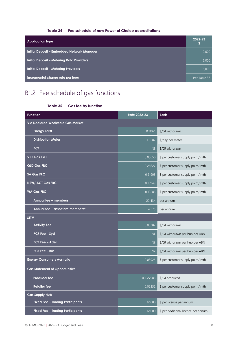#### **Table 34 Fee schedule of new Power of Choice accreditations**

<span id="page-37-1"></span>

| <b>Application type</b>                           | 2022-23      |
|---------------------------------------------------|--------------|
| <b>Initial Deposit - Embedded Network Manager</b> | 2,000        |
| <b>Initial Deposit - Metering Data Providers</b>  | 5,000        |
| <b>Initial Deposit - Metering Providers</b>       | 5,000        |
| Incremental charge rate per hour                  | Per Table 38 |

## <span id="page-37-2"></span><span id="page-37-0"></span>B1.2 Fee schedule of gas functions

| Table 35 |  |  | <b>Gas fee by function</b> |
|----------|--|--|----------------------------|
|----------|--|--|----------------------------|

| <b>Function</b>                          | <b>Rate 2022-23</b> | <b>Basis</b>                        |  |
|------------------------------------------|---------------------|-------------------------------------|--|
| <b>Vic Declared Wholesale Gas Market</b> |                     |                                     |  |
| <b>Energy Tariff</b>                     | 0.11071             | \$/GJ withdrawn                     |  |
| <b>Distribution Meter</b>                | 1.3287              | \$/day per meter                    |  |
| <b>PCF</b>                               | Nil                 | \$/GJ withdrawn                     |  |
| <b>VIC Gas FRC</b>                       | 0.05650             | \$ per customer supply point/ mth   |  |
| <b>QLD Gas FRC</b>                       | 0.28627             | \$ per customer supply point/ mth   |  |
| <b>SA Gas FRC</b>                        | 0.21905             | \$ per customer supply point/ mth   |  |
| <b>NSW/ACT Gas FRC</b>                   | 0.13949             | \$ per customer supply point/ mth   |  |
| <b>WA Gas FRC</b>                        | 0.12286             | \$ per customer supply point/ mth   |  |
| Annual fee - members                     | 22,434              | per annum                           |  |
| Annual fee – associate members*          | 4,375               | per annum                           |  |
| <b>STTM</b>                              |                     |                                     |  |
| <b>Activity Fee</b>                      | 0.03382             | \$/GJ withdrawn                     |  |
| <b>PCF Fee - Syd</b>                     | Nil                 | \$/GJ withdrawn per hub per ABN     |  |
| <b>PCF Fee - Adel</b>                    | Nil                 | \$/GJ withdrawn per hub per ABN     |  |
| <b>PCF Fee - Bris</b>                    | Nil                 | \$/GJ withdrawn per hub per ABN     |  |
| <b>Energy Consumers Australia</b>        | 0.03925             | \$ per customer supply point/ mth   |  |
| <b>Gas Statement of Opportunities</b>    |                     |                                     |  |
| <b>Producer fee</b>                      | 0.00027985          | \$/GJ produced                      |  |
| <b>Retailer fee</b>                      | 0.02352             | \$ per customer supply point/ mth   |  |
| <b>Gas Supply Hub</b>                    |                     |                                     |  |
| <b>Fixed Fee - Trading Participants</b>  | 12,000              | \$ per licence per annum            |  |
| <b>Fixed Fee - Trading Participants</b>  | 12,000              | \$ per additional licence per annum |  |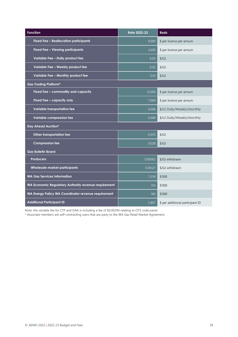| <b>Function</b>                                      | <b>Rate 2022-23</b>               | <b>Basis</b>                     |  |
|------------------------------------------------------|-----------------------------------|----------------------------------|--|
| <b>Fixed Fee - Reallocation participants</b>         | 9,000                             | \$ per licence per annum         |  |
| Fixed Fee - Viewing participants                     | 3,600<br>\$ per licence per annum |                                  |  |
| Variable Fee - Daily product fee                     | 0.03                              | $\sqrt[6]{G}$                    |  |
| Variable Fee - Weekly product fee                    | 0.02                              | $\sqrt{\mathcal{G}}$             |  |
| Variable Fee - Monthly product fee                   | 0.01                              | $\frac{f}{G}$                    |  |
| <b>Gas Trading Platform*</b>                         |                                   |                                  |  |
| Fixed Fee - commodity and capacity                   | 12,000                            | \$ per licence per annum         |  |
| Fixed Fee - capacity only                            | 7,000                             | \$ per licence per annum         |  |
| Variable transportation fee                          | 0.008                             | \$/GJ Daily/Weekly/Monthly       |  |
| Variable compression fee                             | 0.008                             | \$/GJ Daily/Weekly/Monthly       |  |
| <b>Day Ahead Auction*</b>                            |                                   |                                  |  |
| Other transportation fee                             | 0.033                             | $\frac{f}{G}$                    |  |
| <b>Compression fee</b>                               | 0.028                             | $\sqrt[6]{G}$                    |  |
| <b>Gas Bulletin Board</b>                            |                                   |                                  |  |
| <b>Producers</b>                                     | 0.00063                           | \$/GJ withdrawn                  |  |
| Wholesale market participants                        | 0.00321                           | \$/GJ withdrawn                  |  |
| <b>WA Gas Services Information</b>                   | 1,559                             | \$'000                           |  |
| WA Economic Regulatory Authority revenue requirement | 154                               | \$'000                           |  |
| WA Energy Policy WA Coordinator revenue requirement  | 160                               | \$'000                           |  |
| <b>Additional Participant ID</b>                     | 5,807                             | \$ per additional participant ID |  |

Note: the variable fee for CTP and DAA is including a fee of \$0.00294 relating to OTS code panel.

\* Associate members are self-contracting users that are party to the WA Gas Retail Market Agreement.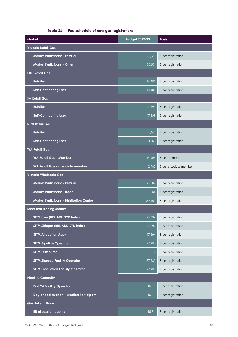#### **Table 36 Fee schedule of new gas registrations**

<span id="page-39-0"></span>

| <b>Market</b>                                     | <b>Budget 2022-23</b> | <b>Basis</b>            |  |
|---------------------------------------------------|-----------------------|-------------------------|--|
| <b>Victoria Retail Gas</b>                        |                       |                         |  |
| <b>Market Participant - Retailer</b>              | 20,661                | \$ per registration     |  |
| <b>Market Participant - Other</b>                 | 20,661                | \$ per registration     |  |
| <b>QLD Retail Gas</b>                             |                       |                         |  |
| <b>Retailer</b>                                   | 18,486                | \$ per registration     |  |
| <b>Self-Contracting User</b>                      | 18,486                | \$ per registration     |  |
| <b>SA Retail Gas</b>                              |                       |                         |  |
| <b>Retailer</b>                                   | 17,399                | \$ per registration     |  |
| <b>Self-Contracting User</b>                      | 17,399                | \$ per registration     |  |
| <b>NSW Retail Gas</b>                             |                       |                         |  |
| <b>Retailer</b>                                   | $\sqrt{20,661}$       | \$ per registration     |  |
| <b>Self-Contracting User</b>                      | 20,866                | \$ per registration     |  |
| <b>WA Retail Gas</b>                              |                       |                         |  |
| <b>WA Retail Gas - Member</b>                     | 13,904                | \$ per member           |  |
| WA Retail Gas - associate member                  | 2,780                 | \$ per associate member |  |
| <b>Victoria Wholesale Gas</b>                     |                       |                         |  |
| <b>Market Participant - Retailer</b>              | 21,084                | \$ per registration     |  |
| Market Participant - Trader                       | 21,084                | \$ per registration     |  |
| <b>Market Participant - Distribution Centre</b>   | 20,469                | \$ per registration     |  |
| <b>Short Tern Trading Market</b>                  |                       |                         |  |
| STTM User (BRI, ADL, SYD hubs)                    | 21,392                | \$ per registration     |  |
| STTM Shipper (BRI, ADL, SYD hubs)                 | 21,392                | \$ per registration     |  |
| <b>STTM Allocation Agent</b>                      | 17,394                | \$ per registration     |  |
| <b>STTM Pipeline Operator</b>                     | 37,382                | \$ per registration     |  |
| <b>STTM Distributor</b>                           | 37,074                | \$ per registration     |  |
| <b>STTM Storage Facility Operator</b>             | 37,382                | \$ per registration     |  |
| <b>STTM Production Facility Operator</b>          | 37,382                | \$ per registration     |  |
| <b>Pipeline Capacity</b>                          |                       |                         |  |
| <b>Part 24 Facility Operator</b>                  | 16,311                | \$ per registration     |  |
| Day ahead auction - Auction Participant<br>16,311 |                       | \$ per registration     |  |
| <b>Gas Bulletin Board</b>                         |                       |                         |  |
| <b>BB allocation agents</b>                       | 16,311                | \$ per registration     |  |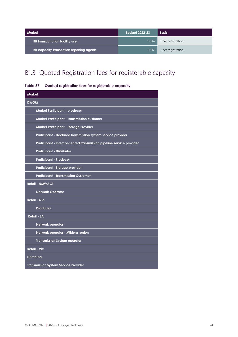| Market                                          | <b>Budget 2022-23</b> | <b>Basis</b>        |
|-------------------------------------------------|-----------------------|---------------------|
| <b>BB</b> transportation facility user          | 11,962                | \$ per registration |
| <b>BB capacity transaction reporting agents</b> | 11,962                | \$ per registration |

## <span id="page-40-0"></span>B1.3 Quoted Registration fees for registerable capacity

<span id="page-40-1"></span>

| Table 37 | Quoted registration fees for registerable capacity |  |  |  |
|----------|----------------------------------------------------|--|--|--|
|----------|----------------------------------------------------|--|--|--|

| <b>Market</b>                                                       |
|---------------------------------------------------------------------|
| <b>DWGM</b>                                                         |
| Market Participant - producer                                       |
| Market Participant - Transmission customer                          |
| Market Participant - Storage Provider                               |
| Participant - Declared transmission system service provider         |
| Participant - Interconnected transmission pipeline service provider |
| <b>Participant - Distributor</b>                                    |
| <b>Participant - Producer</b>                                       |
| Participant - Storage provider                                      |
| <b>Participant - Transmission Customer</b>                          |
| <b>Retail - NSW/ACT</b>                                             |
| <b>Network Operator</b>                                             |
| <b>Retail - Qld</b>                                                 |
| <b>Distributor</b>                                                  |
| <b>Retail - SA</b>                                                  |
| Network operator                                                    |
| Network operator - Mildura region                                   |
| <b>Transmission System operator</b>                                 |
| <b>Retail - Vic</b>                                                 |
| <b>Distributor</b>                                                  |
| <b>Transmission System Service Provider</b>                         |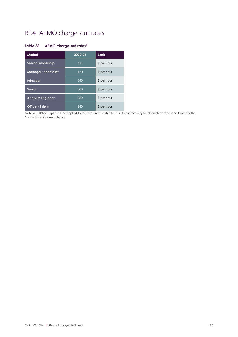## <span id="page-41-0"></span>B1.4 AEMO charge-out rates

#### <span id="page-41-1"></span>**Table 38 AEMO charge-out rates\***

| <b>Market</b>             | $2022 - 23$ | <b>Basis</b> |
|---------------------------|-------------|--------------|
| <b>Senior Leadership</b>  | 510         | \$ per hour  |
| <b>Manager/Specialist</b> | 430         | \$ per hour  |
| <b>Principal</b>          | 340         | \$ per hour  |
| <b>Senior</b>             | 300         | \$ per hour  |
| Analyst/Engineer          | 280         | \$ per hour  |
| Officer/Intern            | 240         | \$ per hour  |

Note, a \$30/hour uplift will be applied to the rates in this table to reflect cost recovery for dedicated work undertaken for the Connections Reform Initiative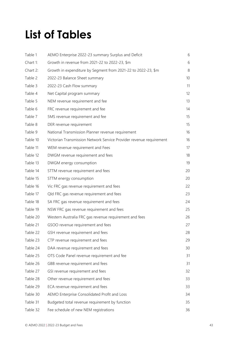# <span id="page-42-0"></span>**List of Tables**

| Table 1  | AEMO Enterprise 2022-23 summary Surplus and Deficit                 | 6  |
|----------|---------------------------------------------------------------------|----|
| Chart 1: | Growth in revenue from 2021-22 to 2022-23, \$m                      | 6  |
| Chart 2: | Growth in expenditure by Segment from 2021-22 to 2022-23, \$m       | 8  |
| Table 2  | 2022-23 Balance Sheet summary                                       | 10 |
| Table 3  | 2022-23 Cash Flow summary                                           | 11 |
| Table 4  | Net Capital program summary                                         | 12 |
| Table 5  | NEM revenue requirement and fee                                     | 13 |
| Table 6  | FRC revenue requirement and fee                                     | 14 |
| Table 7  | 5MS revenue requirement and fee                                     | 15 |
| Table 8  | DER revenue requirement                                             | 15 |
| Table 9  | National Transmission Planner revenue requirement                   | 16 |
| Table 10 | Victorian Transmission Network Service Provider revenue requirement | 16 |
| Table 11 | WEM revenue requirement and Fees                                    | 17 |
| Table 12 | DWGM revenue requirement and fees                                   | 18 |
| Table 13 | DWGM energy consumption                                             | 19 |
| Table 14 | STTM revenue requirement and fees                                   | 20 |
| Table 15 | STTM energy consumption                                             | 20 |
| Table 16 | Vic FRC gas revenue requirement and fees                            | 22 |
| Table 17 | Qld FRC gas revenue requirement and fees                            | 23 |
| Table 18 | SA FRC gas revenue requirement and fees                             | 24 |
| Table 19 | NSW FRC gas revenue requirement and fees                            | 25 |
| Table 20 | Western Australia FRC gas revenue requirement and fees              | 26 |
| Table 21 | GSOO revenue requirement and fees                                   | 27 |
| Table 22 | GSH revenue requirement and fees                                    | 28 |
| Table 23 | CTP revenue requirement and fees                                    | 29 |
| Table 24 | DAA revenue requirement and fees                                    | 30 |
| Table 25 | OTS Code Panel revenue requirement and fee                          | 31 |
| Table 26 | GBB revenue requirement and fees                                    | 31 |
| Table 27 | GSI revenue requirement and fees                                    | 32 |
| Table 28 | Other revenue requirement and fees                                  | 33 |
| Table 29 | ECA revenue requirement and fees                                    | 33 |
| Table 30 | AEMO Enterprise Consolidated Profit and Loss                        | 34 |
| Table 31 | Budgeted total revenue requirement by function                      | 35 |
| Table 32 | Fee schedule of new NEM registrations                               | 36 |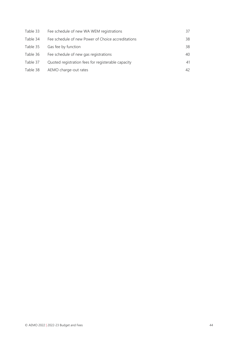| Table 33 | Fee schedule of new WA WEM registrations           | 37 |
|----------|----------------------------------------------------|----|
| Table 34 | Fee schedule of new Power of Choice accreditations | 38 |
| Table 35 | Gas fee by function                                | 38 |
| Table 36 | Fee schedule of new gas registrations              | 40 |
| Table 37 | Quoted registration fees for registerable capacity | 41 |
| Table 38 | AEMO charge-out rates                              | 42 |